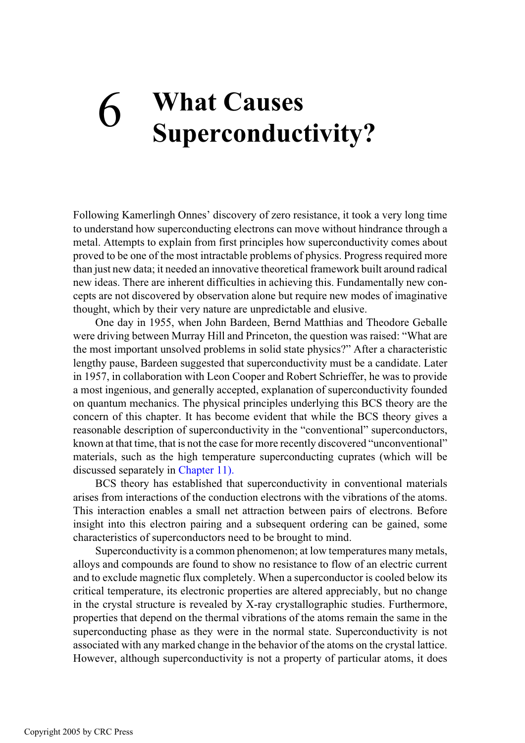# **What Causes Superconductivity?** 6

Following Kamerlingh Onnes' discovery of zero resistance, it took a very long time to understand how superconducting electrons can move without hindrance through a metal. Attempts to explain from first principles how superconductivity comes about proved to be one of the most intractable problems of physics. Progress required more than just new data; it needed an innovative theoretical framework built around radical new ideas. There are inherent difficulties in achieving this. Fundamentally new concepts are not discovered by observation alone but require new modes of imaginative thought, which by their very nature are unpredictable and elusive.

One day in 1955, when John Bardeen, Bernd Matthias and Theodore Geballe were driving between Murray Hill and Princeton, the question was raised: "What are the most important unsolved problems in solid state physics?" After a characteristic lengthy pause, Bardeen suggested that superconductivity must be a candidate. Later in 1957, in collaboration with Leon Cooper and Robert Schrieffer, he was to provide a most ingenious, and generally accepted, explanation of superconductivity founded on quantum mechanics. The physical principles underlying this BCS theory are the concern of this chapter. It has become evident that while the BCS theory gives a reasonable description of superconductivity in the "conventional" superconductors, known at that time, that is not the case for more recently discovered "unconventional" materials, such as the high temperature superconducting cuprates (which will be discussed separately in Chapter 11).

BCS theory has established that superconductivity in conventional materials arises from interactions of the conduction electrons with the vibrations of the atoms. This interaction enables a small net attraction between pairs of electrons. Before insight into this electron pairing and a subsequent ordering can be gained, some characteristics of superconductors need to be brought to mind.

Superconductivity is a common phenomenon; at low temperatures many metals, alloys and compounds are found to show no resistance to flow of an electric current and to exclude magnetic flux completely. When a superconductor is cooled below its critical temperature, its electronic properties are altered appreciably, but no change in the crystal structure is revealed by X-ray crystallographic studies. Furthermore, properties that depend on the thermal vibrations of the atoms remain the same in the superconducting phase as they were in the normal state. Superconductivity is not associated with any marked change in the behavior of the atoms on the crystal lattice. However, although superconductivity is not a property of particular atoms, it does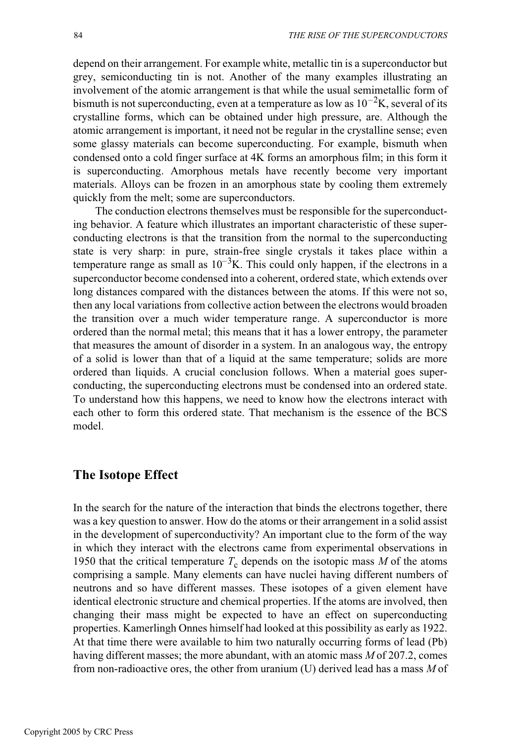depend on their arrangement. For example white, metallic tin is a superconductor but grey, semiconducting tin is not. Another of the many examples illustrating an involvement of the atomic arrangement is that while the usual semimetallic form of bismuth is not superconducting, even at a temperature as low as  $10^{-2}$ K, several of its crystalline forms, which can be obtained under high pressure, are. Although the atomic arrangement is important, it need not be regular in the crystalline sense; even some glassy materials can become superconducting. For example, bismuth when condensed onto a cold finger surface at 4K forms an amorphous film; in this form it is superconducting. Amorphous metals have recently become very important materials. Alloys can be frozen in an amorphous state by cooling them extremely quickly from the melt; some are superconductors.

The conduction electrons themselves must be responsible for the superconducting behavior. A feature which illustrates an important characteristic of these superconducting electrons is that the transition from the normal to the superconducting state is very sharp: in pure, strain-free single crystals it takes place within a temperature range as small as  $10^{-3}$ K. This could only happen, if the electrons in a superconductor become condensed into a coherent, ordered state, which extends over long distances compared with the distances between the atoms. If this were not so, then any local variations from collective action between the electrons would broaden the transition over a much wider temperature range. A superconductor is more ordered than the normal metal; this means that it has a lower entropy, the parameter that measures the amount of disorder in a system. In an analogous way, the entropy of a solid is lower than that of a liquid at the same temperature; solids are more ordered than liquids. A crucial conclusion follows. When a material goes superconducting, the superconducting electrons must be condensed into an ordered state. To understand how this happens, we need to know how the electrons interact with each other to form this ordered state. That mechanism is the essence of the BCS model.

### **The Isotope Effect**

In the search for the nature of the interaction that binds the electrons together, there was a key question to answer. How do the atoms or their arrangement in a solid assist in the development of superconductivity? An important clue to the form of the way in which they interact with the electrons came from experimental observations in 1950 that the critical temperature  $T_c$  depends on the isotopic mass  $M$  of the atoms comprising a sample. Many elements can have nuclei having different numbers of neutrons and so have different masses. These isotopes of a given element have identical electronic structure and chemical properties. If the atoms are involved, then changing their mass might be expected to have an effect on superconducting properties. Kamerlingh Onnes himself had looked at this possibility as early as 1922. At that time there were available to him two naturally occurring forms of lead (Pb) having different masses; the more abundant, with an atomic mass *M* of 207.2, comes from non-radioactive ores, the other from uranium (U) derived lead has a mass *M* of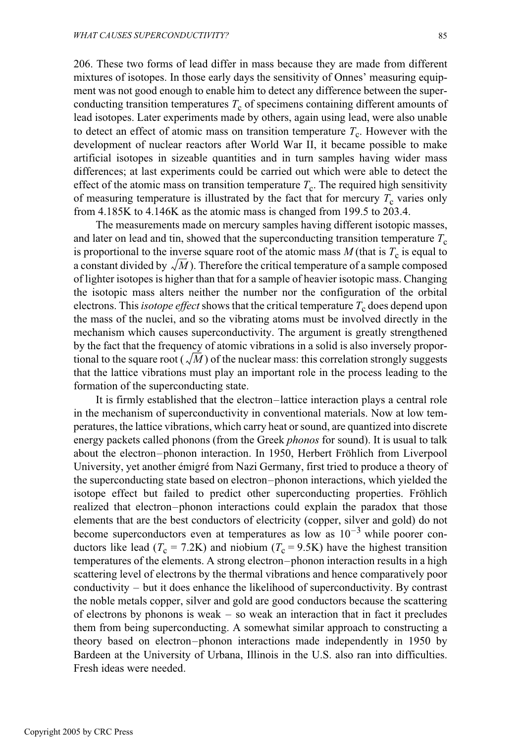206. These two forms of lead differ in mass because they are made from different mixtures of isotopes. In those early days the sensitivity of Onnes' measuring equipment was not good enough to enable him to detect any difference between the superconducting transition temperatures  $T<sub>c</sub>$  of specimens containing different amounts of lead isotopes. Later experiments made by others, again using lead, were also unable to detect an effect of atomic mass on transition temperature  $T_c$ . However with the development of nuclear reactors after World War II, it became possible to make artificial isotopes in sizeable quantities and in turn samples having wider mass differences; at last experiments could be carried out which were able to detect the effect of the atomic mass on transition temperature  $T_c$ . The required high sensitivity of measuring temperature is illustrated by the fact that for mercury  $T_c$  varies only from 4.185K to 4.146K as the atomic mass is changed from 199.5 to 203.4.

The measurements made on mercury samples having different isotopic masses, and later on lead and tin, showed that the superconducting transition temperature  $T_c$ is proportional to the inverse square root of the atomic mass  $M$  (that is  $T_c$  is equal to a constant divided by  $\sqrt{M}$ ). Therefore the critical temperature of a sample composed of lighter isotopes is higher than that for a sample of heavier isotopic mass. Changing the isotopic mass alters neither the number nor the configuration of the orbital electrons. This *isotope effect* shows that the critical temperature  $T_c$  does depend upon the mass of the nuclei, and so the vibrating atoms must be involved directly in the mechanism which causes superconductivity. The argument is greatly strengthened by the fact that the frequency of atomic vibrations in a solid is also inversely proportional to the square root ( $\sqrt{M}$ ) of the nuclear mass: this correlation strongly suggests that the lattice vibrations must play an important role in the process leading to the formation of the superconducting state.

It is firmly established that the electron–lattice interaction plays a central role in the mechanism of superconductivity in conventional materials. Now at low temperatures, the lattice vibrations, which carry heat or sound, are quantized into discrete energy packets called phonons (from the Greek *phonos* for sound). It is usual to talk about the electron–phonon interaction. In 1950, Herbert Fröhlich from Liverpool University, yet another émigré from Nazi Germany, first tried to produce a theory of the superconducting state based on electron–phonon interactions, which yielded the isotope effect but failed to predict other superconducting properties. Fröhlich realized that electron–phonon interactions could explain the paradox that those elements that are the best conductors of electricity (copper, silver and gold) do not become superconductors even at temperatures as low as  $10^{-3}$  while poorer conductors like lead ( $T_c = 7.2$ K) and niobium ( $T_c = 9.5$ K) have the highest transition temperatures of the elements. A strong electron–phonon interaction results in a high scattering level of electrons by the thermal vibrations and hence comparatively poor conductivity – but it does enhance the likelihood of superconductivity. By contrast the noble metals copper, silver and gold are good conductors because the scattering of electrons by phonons is weak – so weak an interaction that in fact it precludes them from being superconducting. A somewhat similar approach to constructing a theory based on electron–phonon interactions made independently in 1950 by Bardeen at the University of Urbana, Illinois in the U.S. also ran into difficulties. Fresh ideas were needed.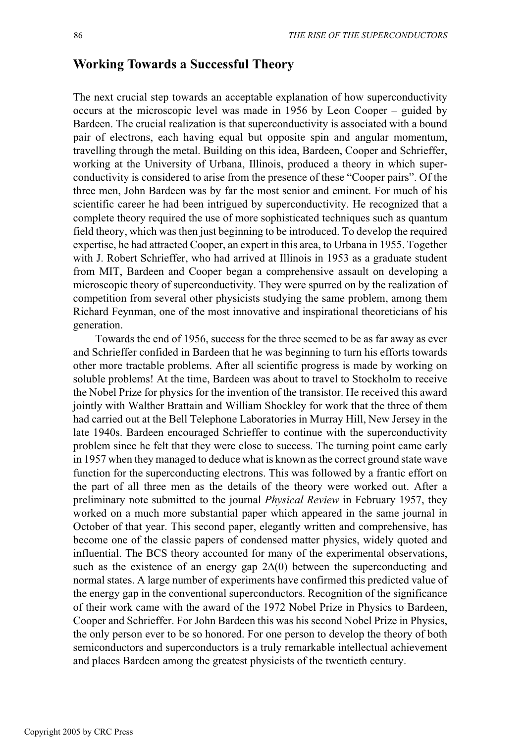## **Working Towards a Successful Theory**

The next crucial step towards an acceptable explanation of how superconductivity occurs at the microscopic level was made in 1956 by Leon Cooper – guided by Bardeen. The crucial realization is that superconductivity is associated with a bound pair of electrons, each having equal but opposite spin and angular momentum, travelling through the metal. Building on this idea, Bardeen, Cooper and Schrieffer, working at the University of Urbana, Illinois, produced a theory in which superconductivity is considered to arise from the presence of these "Cooper pairs". Of the three men, John Bardeen was by far the most senior and eminent. For much of his scientific career he had been intrigued by superconductivity. He recognized that a complete theory required the use of more sophisticated techniques such as quantum field theory, which was then just beginning to be introduced. To develop the required expertise, he had attracted Cooper, an expert in this area, to Urbana in 1955. Together with J. Robert Schrieffer, who had arrived at Illinois in 1953 as a graduate student from MIT, Bardeen and Cooper began a comprehensive assault on developing a microscopic theory of superconductivity. They were spurred on by the realization of competition from several other physicists studying the same problem, among them Richard Feynman, one of the most innovative and inspirational theoreticians of his generation.

Towards the end of 1956, success for the three seemed to be as far away as ever and Schrieffer confided in Bardeen that he was beginning to turn his efforts towards other more tractable problems. After all scientific progress is made by working on soluble problems! At the time, Bardeen was about to travel to Stockholm to receive the Nobel Prize for physics for the invention of the transistor. He received this award jointly with Walther Brattain and William Shockley for work that the three of them had carried out at the Bell Telephone Laboratories in Murray Hill, New Jersey in the late 1940s. Bardeen encouraged Schrieffer to continue with the superconductivity problem since he felt that they were close to success. The turning point came early in 1957 when they managed to deduce what is known as the correct ground state wave function for the superconducting electrons. This was followed by a frantic effort on the part of all three men as the details of the theory were worked out. After a preliminary note submitted to the journal *Physical Review* in February 1957, they worked on a much more substantial paper which appeared in the same journal in October of that year. This second paper, elegantly written and comprehensive, has become one of the classic papers of condensed matter physics, widely quoted and influential. The BCS theory accounted for many of the experimental observations, such as the existence of an energy gap  $2\Delta(0)$  between the superconducting and normal states. A large number of experiments have confirmed this predicted value of the energy gap in the conventional superconductors. Recognition of the significance of their work came with the award of the 1972 Nobel Prize in Physics to Bardeen, Cooper and Schrieffer. For John Bardeen this was his second Nobel Prize in Physics, the only person ever to be so honored. For one person to develop the theory of both semiconductors and superconductors is a truly remarkable intellectual achievement and places Bardeen among the greatest physicists of the twentieth century.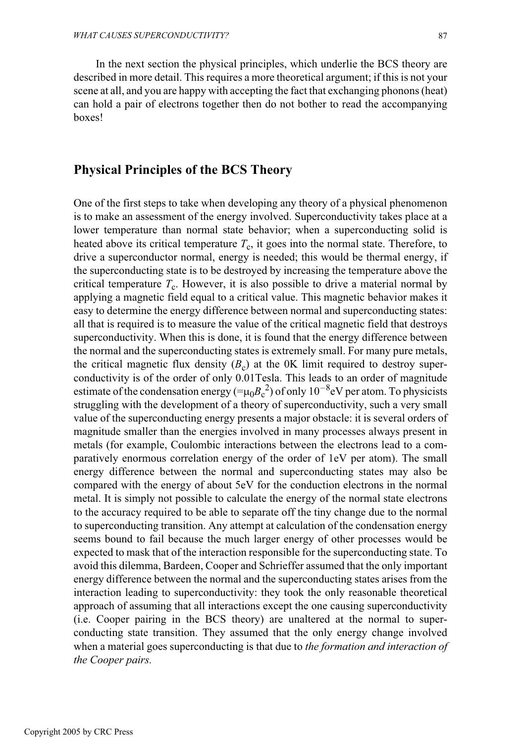In the next section the physical principles, which underlie the BCS theory are described in more detail. This requires a more theoretical argument; if this is not your scene at all, and you are happy with accepting the fact that exchanging phonons (heat) can hold a pair of electrons together then do not bother to read the accompanying boxes!

## **Physical Principles of the BCS Theory**

One of the first steps to take when developing any theory of a physical phenomenon is to make an assessment of the energy involved. Superconductivity takes place at a lower temperature than normal state behavior; when a superconducting solid is heated above its critical temperature  $T_c$ , it goes into the normal state. Therefore, to drive a superconductor normal, energy is needed; this would be thermal energy, if the superconducting state is to be destroyed by increasing the temperature above the critical temperature  $T_c$ . However, it is also possible to drive a material normal by applying a magnetic field equal to a critical value. This magnetic behavior makes it easy to determine the energy difference between normal and superconducting states: all that is required is to measure the value of the critical magnetic field that destroys superconductivity. When this is done, it is found that the energy difference between the normal and the superconducting states is extremely small. For many pure metals, the critical magnetic flux density  $(B_c)$  at the 0K limit required to destroy superconductivity is of the order of only 0.01Tesla. This leads to an order of magnitude estimate of the condensation energy ( $=\mu_0 B_c^2$ ) of only 10<sup>-8</sup>eV per atom. To physicists struggling with the development of a theory of superconductivity, such a very small value of the superconducting energy presents a major obstacle: it is several orders of magnitude smaller than the energies involved in many processes always present in metals (for example, Coulombic interactions between the electrons lead to a comparatively enormous correlation energy of the order of 1eV per atom). The small energy difference between the normal and superconducting states may also be compared with the energy of about 5eV for the conduction electrons in the normal metal. It is simply not possible to calculate the energy of the normal state electrons to the accuracy required to be able to separate off the tiny change due to the normal to superconducting transition. Any attempt at calculation of the condensation energy seems bound to fail because the much larger energy of other processes would be expected to mask that of the interaction responsible for the superconducting state. To avoid this dilemma, Bardeen, Cooper and Schrieffer assumed that the only important energy difference between the normal and the superconducting states arises from the interaction leading to superconductivity: they took the only reasonable theoretical approach of assuming that all interactions except the one causing superconductivity (i.e. Cooper pairing in the BCS theory) are unaltered at the normal to superconducting state transition. They assumed that the only energy change involved when a material goes superconducting is that due to *the formation and interaction of the Cooper pairs.*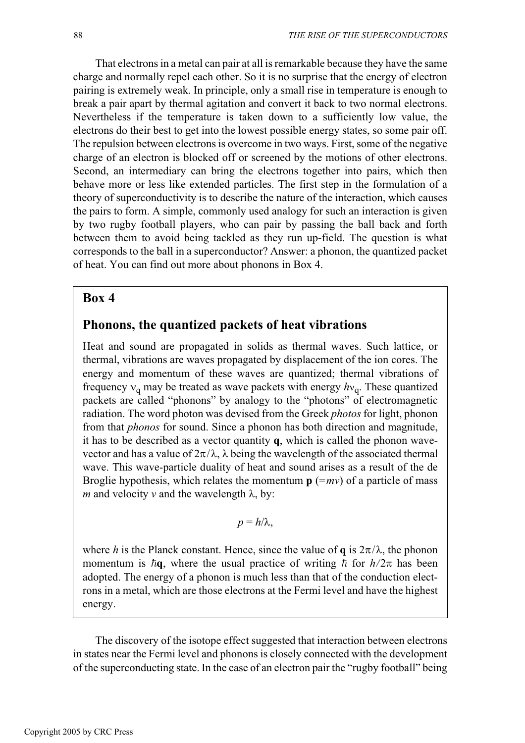That electrons in a metal can pair at all is remarkable because they have the same charge and normally repel each other. So it is no surprise that the energy of electron pairing is extremely weak. In principle, only a small rise in temperature is enough to break a pair apart by thermal agitation and convert it back to two normal electrons. Nevertheless if the temperature is taken down to a sufficiently low value, the electrons do their best to get into the lowest possible energy states, so some pair off. The repulsion between electrons is overcome in two ways. First, some of the negative charge of an electron is blocked off or screened by the motions of other electrons. Second, an intermediary can bring the electrons together into pairs, which then behave more or less like extended particles. The first step in the formulation of a theory of superconductivity is to describe the nature of the interaction, which causes the pairs to form. A simple, commonly used analogy for such an interaction is given by two rugby football players, who can pair by passing the ball back and forth between them to avoid being tackled as they run up-field. The question is what corresponds to the ball in a superconductor? Answer: a phonon, the quantized packet of heat. You can find out more about phonons in Box 4.

### **Box 4**

## **Phonons, the quantized packets of heat vibrations**

Heat and sound are propagated in solids as thermal waves. Such lattice, or thermal, vibrations are waves propagated by displacement of the ion cores. The energy and momentum of these waves are quantized; thermal vibrations of frequency  $v_q$  may be treated as wave packets with energy  $hv_q$ . These quantized packets are called "phonons" by analogy to the "photons" of electromagnetic radiation. The word photon was devised from the Greek *photos* for light, phonon from that *phonos* for sound. Since a phonon has both direction and magnitude, it has to be described as a vector quantity **q**, which is called the phonon wavevector and has a value of  $2\pi/\lambda$ ,  $\lambda$  being the wavelength of the associated thermal wave. This wave-particle duality of heat and sound arises as a result of the de Broglie hypothesis, which relates the momentum  $p (=mv)$  of a particle of mass *m* and velocity *v* and the wavelength  $\lambda$ , by:

$$
p=h/\lambda,
$$

where *h* is the Planck constant. Hence, since the value of **q** is  $2\pi/\lambda$ , the phonon momentum is  $\hbar q$ , where the usual practice of writing  $\hbar$  for  $h/2\pi$  has been adopted. The energy of a phonon is much less than that of the conduction electrons in a metal, which are those electrons at the Fermi level and have the highest energy.

The discovery of the isotope effect suggested that interaction between electrons in states near the Fermi level and phonons is closely connected with the development of the superconducting state. In the case of an electron pair the "rugby football" being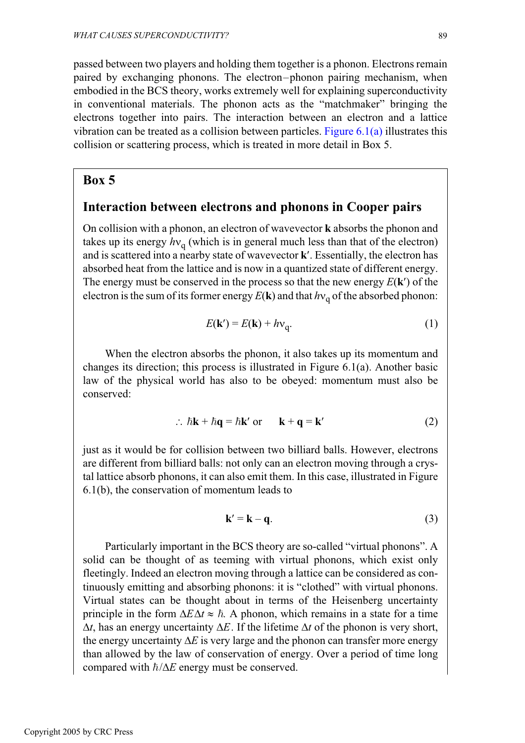passed between two players and holding them together is a phonon. Electrons remain paired by exchanging phonons. The electron–phonon pairing mechanism, when embodied in the BCS theory, works extremely well for explaining superconductivity in conventional materials. The phonon acts as the "matchmaker" bringing the electrons together into pairs. The interaction between an electron and a lattice vibration can be treated as a collision between particles. Figure  $6.1(a)$  illustrates this collision or scattering process, which is treated in more detail in Box 5.

## **Box 5**

#### **Interaction between electrons and phonons in Cooper pairs**

On collision with a phonon, an electron of wavevector **k** absorbs the phonon and takes up its energy  $hv_{q}$  (which is in general much less than that of the electron) and is scattered into a nearby state of wavevector **k**'. Essentially, the electron has absorbed heat from the lattice and is now in a quantized state of different energy. The energy must be conserved in the process so that the new energy  $E(\mathbf{k}')$  of the electron is the sum of its former energy  $E(\mathbf{k})$  and that  $h\mathbf{v}_q$  of the absorbed phonon:

$$
E(\mathbf{k}') = E(\mathbf{k}) + h\mathbf{v}_q.
$$
 (1)

When the electron absorbs the phonon, it also takes up its momentum and changes its direction; this process is illustrated in Figure 6.1(a). Another basic law of the physical world has also to be obeyed: momentum must also be conserved:

$$
\therefore \hbar \mathbf{k} + \hbar \mathbf{q} = \hbar \mathbf{k}' \text{ or } \mathbf{k} + \mathbf{q} = \mathbf{k}' \tag{2}
$$

just as it would be for collision between two billiard balls. However, electrons are different from billiard balls: not only can an electron moving through a crystal lattice absorb phonons, it can also emit them. In this case, illustrated in Figure 6.1(b), the conservation of momentum leads to

$$
\mathbf{k}' = \mathbf{k} - \mathbf{q}.\tag{3}
$$

Particularly important in the BCS theory are so-called "virtual phonons". A solid can be thought of as teeming with virtual phonons, which exist only fleetingly. Indeed an electron moving through a lattice can be considered as continuously emitting and absorbing phonons: it is "clothed" with virtual phonons. Virtual states can be thought about in terms of the Heisenberg uncertainty principle in the form  $\Delta E \Delta t \approx \hbar$ . A phonon, which remains in a state for a time  $\Delta t$ , has an energy uncertainty  $\Delta E$ . If the lifetime  $\Delta t$  of the phonon is very short, the energy uncertainty  $\Delta E$  is very large and the phonon can transfer more energy than allowed by the law of conservation of energy. Over a period of time long compared with  $\hbar/\Delta E$  energy must be conserved.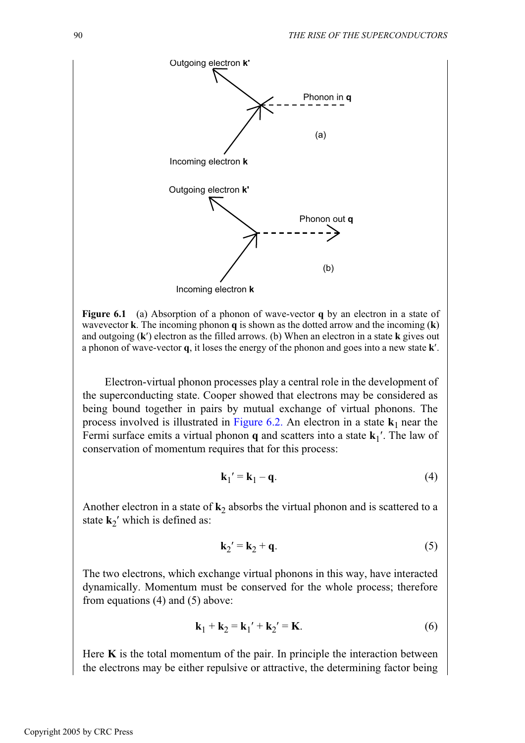

**Figure 6.1** (a) Absorption of a phonon of wave-vector **q** by an electron in a state of wavevector **k**. The incoming phonon **q** is shown as the dotted arrow and the incoming (**k**) and outgoing  $(k')$  electron as the filled arrows. (b) When an electron in a state  $k$  gives out a phonon of wave-vector **q**, it loses the energy of the phonon and goes into a new state **k**'.

Electron-virtual phonon processes play a central role in the development of the superconducting state. Cooper showed that electrons may be considered as being bound together in pairs by mutual exchange of virtual phonons. The process involved is illustrated in Figure 6.2. An electron in a state  $\mathbf{k}_1$  near the Fermi surface emits a virtual phonon **q** and scatters into a state  $\mathbf{k}_1$ '. The law of conservation of momentum requires that for this process:

$$
\mathbf{k}_1' = \mathbf{k}_1 - \mathbf{q}.\tag{4}
$$

Another electron in a state of  $\mathbf{k}_2$  absorbs the virtual phonon and is scattered to a state  $\mathbf{k}_2$ ' which is defined as:

$$
\mathbf{k}_2' = \mathbf{k}_2 + \mathbf{q}.\tag{5}
$$

The two electrons, which exchange virtual phonons in this way, have interacted dynamically. Momentum must be conserved for the whole process; therefore from equations (4) and (5) above:

$$
\mathbf{k}_1 + \mathbf{k}_2 = \mathbf{k}_1' + \mathbf{k}_2' = \mathbf{K}.\tag{6}
$$

Here  $\bf{K}$  is the total momentum of the pair. In principle the interaction between the electrons may be either repulsive or attractive, the determining factor being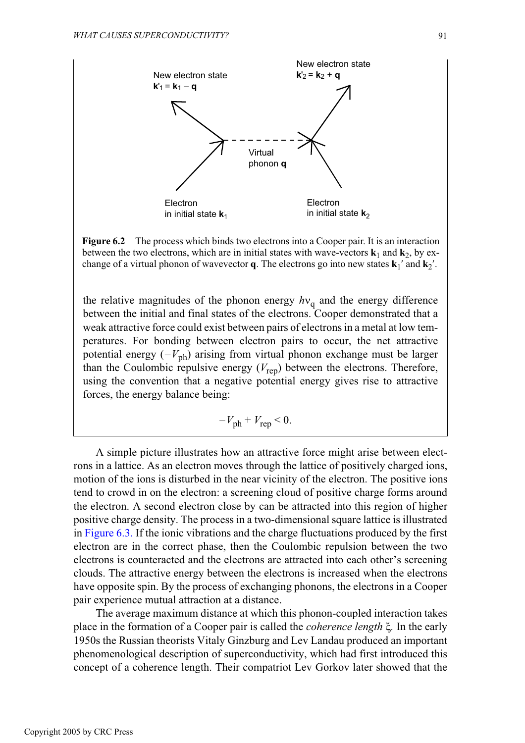

**Figure 6.2** The process which binds two electrons into a Cooper pair. It is an interaction between the two electrons, which are in initial states with wave-vectors  $\mathbf{k}_1$  and  $\mathbf{k}_2$ , by exchange of a virtual phonon of wavevector **q**. The electrons go into new states  $\mathbf{k}_1$ ' and  $\mathbf{k}_2$ '.

the relative magnitudes of the phonon energy  $h\nu_q$  and the energy difference between the initial and final states of the electrons. Cooper demonstrated that a weak attractive force could exist between pairs of electrons in a metal at low temperatures. For bonding between electron pairs to occur, the net attractive potential energy  $(-V_{ph})$  arising from virtual phonon exchange must be larger than the Coulombic repulsive energy  $(V_{\text{rep}})$  between the electrons. Therefore, using the convention that a negative potential energy gives rise to attractive forces, the energy balance being:

$$
-V_{\text{ph}} + V_{\text{rep}} < 0.
$$

A simple picture illustrates how an attractive force might arise between electrons in a lattice. As an electron moves through the lattice of positively charged ions, motion of the ions is disturbed in the near vicinity of the electron. The positive ions tend to crowd in on the electron: a screening cloud of positive charge forms around the electron. A second electron close by can be attracted into this region of higher positive charge density. The process in a two-dimensional square lattice is illustrated in Figure 6.3. If the ionic vibrations and the charge fluctuations produced by the first electron are in the correct phase, then the Coulombic repulsion between the two electrons is counteracted and the electrons are attracted into each other's screening clouds. The attractive energy between the electrons is increased when the electrons have opposite spin. By the process of exchanging phonons, the electrons in a Cooper pair experience mutual attraction at a distance.

The average maximum distance at which this phonon-coupled interaction takes place in the formation of a Cooper pair is called the *coherence length*  $\xi$ . In the early 1950s the Russian theorists Vitaly Ginzburg and Lev Landau produced an important phenomenological description of superconductivity, which had first introduced this concept of a coherence length. Their compatriot Lev Gorkov later showed that the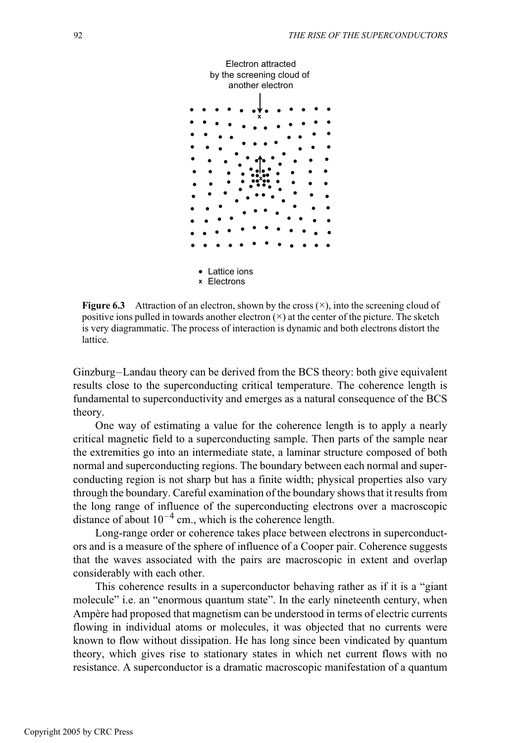

**Figure 6.3** Attraction of an electron, shown by the cross  $(\times)$ , into the screening cloud of positive ions pulled in towards another electron  $(\times)$  at the center of the picture. The sketch is very diagrammatic. The process of interaction is dynamic and both electrons distort the lattice.

Ginzburg–Landau theory can be derived from the BCS theory: both give equivalent results close to the superconducting critical temperature. The coherence length is fundamental to superconductivity and emerges as a natural consequence of the BCS theory.

One way of estimating a value for the coherence length is to apply a nearly critical magnetic field to a superconducting sample. Then parts of the sample near the extremities go into an intermediate state, a laminar structure composed of both normal and superconducting regions. The boundary between each normal and superconducting region is not sharp but has a finite width; physical properties also vary through the boundary. Careful examination of the boundary shows that it results from the long range of influence of the superconducting electrons over a macroscopic distance of about  $10^{-4}$  cm., which is the coherence length.

Long-range order or coherence takes place between electrons in superconductors and is a measure of the sphere of influence of a Cooper pair. Coherence suggests that the waves associated with the pairs are macroscopic in extent and overlap considerably with each other.

This coherence results in a superconductor behaving rather as if it is a "giant molecule" i.e. an "enormous quantum state". In the early nineteenth century, when Ampère had proposed that magnetism can be understood in terms of electric currents flowing in individual atoms or molecules, it was objected that no currents were known to flow without dissipation. He has long since been vindicated by quantum theory, which gives rise to stationary states in which net current flows with no resistance. A superconductor is a dramatic macroscopic manifestation of a quantum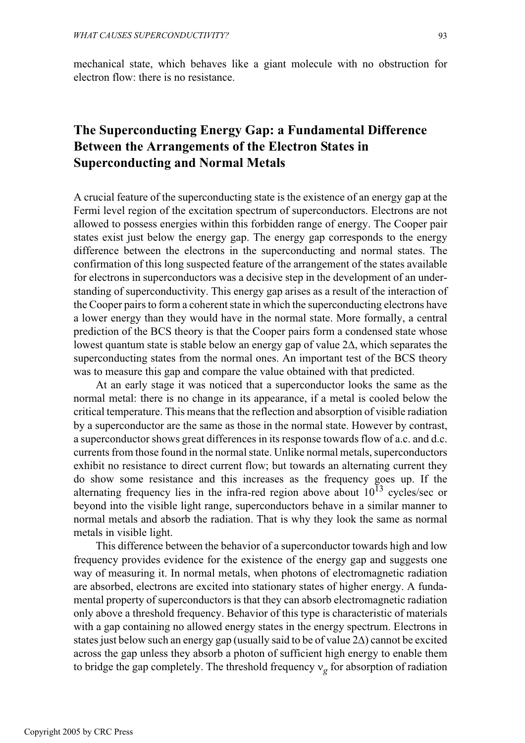mechanical state, which behaves like a giant molecule with no obstruction for electron flow: there is no resistance.

## **The Superconducting Energy Gap: a Fundamental Difference Between the Arrangements of the Electron States in Superconducting and Normal Metals**

A crucial feature of the superconducting state is the existence of an energy gap at the Fermi level region of the excitation spectrum of superconductors. Electrons are not allowed to possess energies within this forbidden range of energy. The Cooper pair states exist just below the energy gap. The energy gap corresponds to the energy difference between the electrons in the superconducting and normal states. The confirmation of this long suspected feature of the arrangement of the states available for electrons in superconductors was a decisive step in the development of an understanding of superconductivity. This energy gap arises as a result of the interaction of the Cooper pairs to form a coherent state in which the superconducting electrons have a lower energy than they would have in the normal state. More formally, a central prediction of the BCS theory is that the Cooper pairs form a condensed state whose lowest quantum state is stable below an energy gap of value  $2\Delta$ , which separates the superconducting states from the normal ones. An important test of the BCS theory was to measure this gap and compare the value obtained with that predicted.

At an early stage it was noticed that a superconductor looks the same as the normal metal: there is no change in its appearance, if a metal is cooled below the critical temperature. This means that the reflection and absorption of visible radiation by a superconductor are the same as those in the normal state. However by contrast, a superconductor shows great differences in its response towards flow of a.c. and d.c. currents from those found in the normal state. Unlike normal metals, superconductors exhibit no resistance to direct current flow; but towards an alternating current they do show some resistance and this increases as the frequency goes up. If the alternating frequency lies in the infra-red region above about  $10^{13}$  cycles/sec or beyond into the visible light range, superconductors behave in a similar manner to normal metals and absorb the radiation. That is why they look the same as normal metals in visible light.

This difference between the behavior of a superconductor towards high and low frequency provides evidence for the existence of the energy gap and suggests one way of measuring it. In normal metals, when photons of electromagnetic radiation are absorbed, electrons are excited into stationary states of higher energy. A fundamental property of superconductors is that they can absorb electromagnetic radiation only above a threshold frequency. Behavior of this type is characteristic of materials with a gap containing no allowed energy states in the energy spectrum. Electrons in states just below such an energy gap (usually said to be of value  $2\Delta$ ) cannot be excited across the gap unless they absorb a photon of sufficient high energy to enable them to bridge the gap completely. The threshold frequency  $v_g$  for absorption of radiation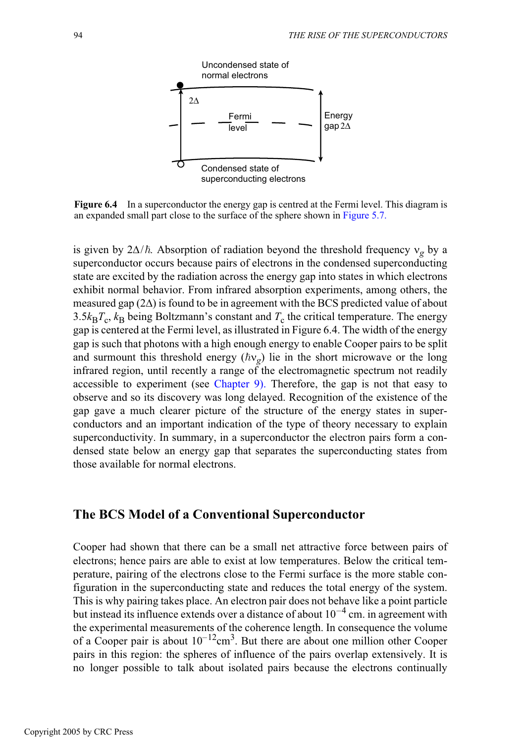

**Figure 6.4** In a superconductor the energy gap is centred at the Fermi level. This diagram is an expanded small part close to the surface of the sphere shown in Figure 5.7.

is given by  $2\Delta/\hbar$ . Absorption of radiation beyond the threshold frequency  $v_g$  by a superconductor occurs because pairs of electrons in the condensed superconducting state are excited by the radiation across the energy gap into states in which electrons exhibit normal behavior. From infrared absorption experiments, among others, the measured gap  $(2\Delta)$  is found to be in agreement with the BCS predicted value of about  $3.5k_BT_c$ ,  $k_B$  being Boltzmann's constant and  $T_c$  the critical temperature. The energy gap is centered at the Fermi level, as illustrated in Figure 6.4. The width of the energy gap is such that photons with a high enough energy to enable Cooper pairs to be split and surmount this threshold energy  $(\hbar v_g)$  lie in the short microwave or the long infrared region, until recently a range of the electromagnetic spectrum not readily accessible to experiment (see Chapter 9). Therefore, the gap is not that easy to observe and so its discovery was long delayed. Recognition of the existence of the gap gave a much clearer picture of the structure of the energy states in superconductors and an important indication of the type of theory necessary to explain superconductivity. In summary, in a superconductor the electron pairs form a condensed state below an energy gap that separates the superconducting states from those available for normal electrons.

### **The BCS Model of a Conventional Superconductor**

Cooper had shown that there can be a small net attractive force between pairs of electrons; hence pairs are able to exist at low temperatures. Below the critical temperature, pairing of the electrons close to the Fermi surface is the more stable configuration in the superconducting state and reduces the total energy of the system. This is why pairing takes place. An electron pair does not behave like a point particle but instead its influence extends over a distance of about  $10^{-4}$  cm. in agreement with the experimental measurements of the coherence length. In consequence the volume of a Cooper pair is about  $10^{-12}$ cm<sup>3</sup>. But there are about one million other Cooper pairs in this region: the spheres of influence of the pairs overlap extensively. It is no longer possible to talk about isolated pairs because the electrons continually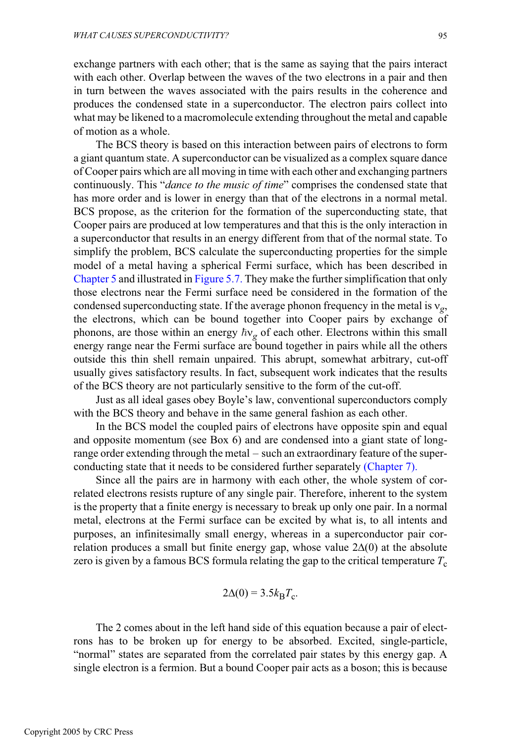exchange partners with each other; that is the same as saying that the pairs interact with each other. Overlap between the waves of the two electrons in a pair and then in turn between the waves associated with the pairs results in the coherence and produces the condensed state in a superconductor. The electron pairs collect into what may be likened to a macromolecule extending throughout the metal and capable of motion as a whole.

The BCS theory is based on this interaction between pairs of electrons to form a giant quantum state. A superconductor can be visualized as a complex square dance of Cooper pairs which are all moving in time with each other and exchanging partners continuously. This "*dance to the music of time*" comprises the condensed state that has more order and is lower in energy than that of the electrons in a normal metal. BCS propose, as the criterion for the formation of the superconducting state, that Cooper pairs are produced at low temperatures and that this is the only interaction in a superconductor that results in an energy different from that of the normal state. To simplify the problem, BCS calculate the superconducting properties for the simple model of a metal having a spherical Fermi surface, which has been described in Chapter 5 and illustrated in Figure 5.7. They make the further simplification that only those electrons near the Fermi surface need be considered in the formation of the condensed superconducting state. If the average phonon frequency in the metal is  $v_g$ , the electrons, which can be bound together into Cooper pairs by exchange of phonons, are those within an energy  $\hbar v_g$  of each other. Electrons within this small energy range near the Fermi surface are bound together in pairs while all the others outside this thin shell remain unpaired. This abrupt, somewhat arbitrary, cut-off usually gives satisfactory results. In fact, subsequent work indicates that the results of the BCS theory are not particularly sensitive to the form of the cut-off.

Just as all ideal gases obey Boyle's law, conventional superconductors comply with the BCS theory and behave in the same general fashion as each other.

In the BCS model the coupled pairs of electrons have opposite spin and equal and opposite momentum (see Box 6) and are condensed into a giant state of longrange order extending through the metal – such an extraordinary feature of the superconducting state that it needs to be considered further separately (Chapter 7).

Since all the pairs are in harmony with each other, the whole system of correlated electrons resists rupture of any single pair. Therefore, inherent to the system is the property that a finite energy is necessary to break up only one pair. In a normal metal, electrons at the Fermi surface can be excited by what is, to all intents and purposes, an infinitesimally small energy, whereas in a superconductor pair correlation produces a small but finite energy gap, whose value  $2\Delta(0)$  at the absolute zero is given by a famous BCS formula relating the gap to the critical temperature  $T_c$ 

$$
2\Delta(0) = 3.5k_{\rm B}T_{\rm c}.
$$

The 2 comes about in the left hand side of this equation because a pair of electrons has to be broken up for energy to be absorbed. Excited, single-particle, "normal" states are separated from the correlated pair states by this energy gap. A single electron is a fermion. But a bound Cooper pair acts as a boson; this is because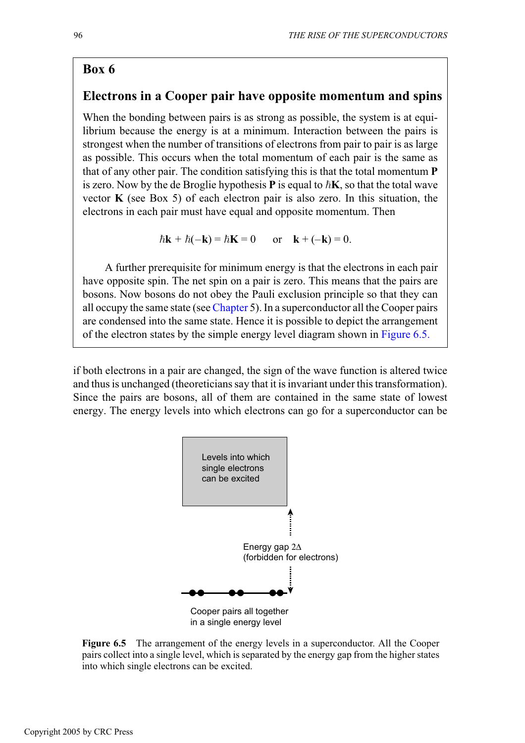## **Box 6**

## **Electrons in a Cooper pair have opposite momentum and spins**

When the bonding between pairs is as strong as possible, the system is at equilibrium because the energy is at a minimum. Interaction between the pairs is strongest when the number of transitions of electrons from pair to pair is as large as possible. This occurs when the total momentum of each pair is the same as that of any other pair. The condition satisfying this is that the total momentum **P** is zero. Now by the de Broglie hypothesis **P** is equal to  $\hbar$ **K**, so that the total wave vector **K** (see Box 5) of each electron pair is also zero. In this situation, the electrons in each pair must have equal and opposite momentum. Then

$$
\hbar \mathbf{k} + \hbar(-\mathbf{k}) = \hbar \mathbf{K} = 0 \quad \text{or} \quad \mathbf{k} + (-\mathbf{k}) = 0.
$$

A further prerequisite for minimum energy is that the electrons in each pair have opposite spin. The net spin on a pair is zero. This means that the pairs are bosons. Now bosons do not obey the Pauli exclusion principle so that they can all occupy the same state (see Chapter 5). In a superconductor all the Cooper pairs are condensed into the same state. Hence it is possible to depict the arrangement of the electron states by the simple energy level diagram shown in Figure 6.5.

if both electrons in a pair are changed, the sign of the wave function is altered twice and thus is unchanged (theoreticians say that it is invariant under this transformation). Since the pairs are bosons, all of them are contained in the same state of lowest energy. The energy levels into which electrons can go for a superconductor can be



**Figure 6.5** The arrangement of the energy levels in a superconductor. All the Cooper pairs collect into a single level, which is separated by the energy gap from the higher states into which single electrons can be excited.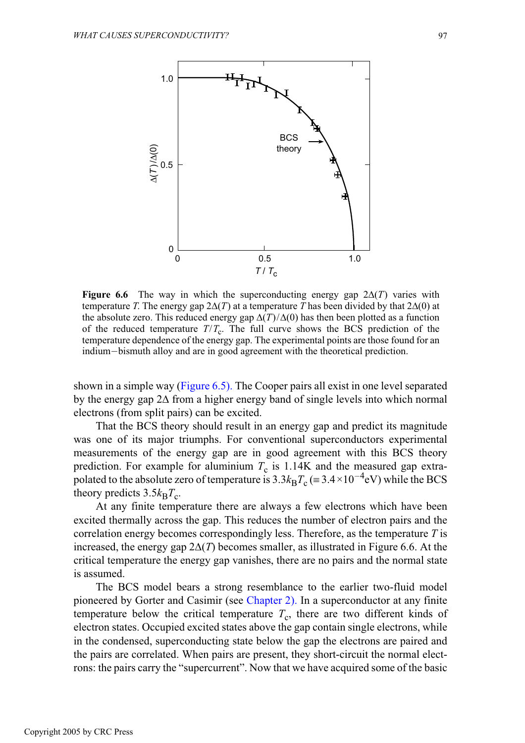

**Figure 6.6** The way in which the superconducting energy gap  $2\Delta(T)$  varies with temperature *T*. The energy gap  $2\Delta(T)$  at a temperature *T* has been divided by that  $2\Delta(0)$  at the absolute zero. This reduced energy gap  $\Delta(T)/\Delta(0)$  has then been plotted as a function of the reduced temperature  $T/T_c$ . The full curve shows the BCS prediction of the temperature dependence of the energy gap. The experimental points are those found for an indium–bismuth alloy and are in good agreement with the theoretical prediction.

shown in a simple way (Figure 6.5). The Cooper pairs all exist in one level separated by the energy gap  $2\Delta$  from a higher energy band of single levels into which normal electrons (from split pairs) can be excited.

That the BCS theory should result in an energy gap and predict its magnitude was one of its major triumphs. For conventional superconductors experimental measurements of the energy gap are in good agreement with this BCS theory prediction. For example for aluminium  $T_c$  is 1.14K and the measured gap extrapolated to the absolute zero of temperature is  $3.3k_BT_c \, (\equiv 3.4 \times 10^{-4} \text{eV})$  while the BCS theory predicts  $3.5k_BT_c$ .

At any finite temperature there are always a few electrons which have been excited thermally across the gap. This reduces the number of electron pairs and the correlation energy becomes correspondingly less. Therefore, as the temperature *T* is increased, the energy gap  $2\Delta(T)$  becomes smaller, as illustrated in Figure 6.6. At the critical temperature the energy gap vanishes, there are no pairs and the normal state is assumed.

The BCS model bears a strong resemblance to the earlier two-fluid model pioneered by Gorter and Casimir (see Chapter 2). In a superconductor at any finite temperature below the critical temperature  $T_c$ , there are two different kinds of electron states. Occupied excited states above the gap contain single electrons, while in the condensed, superconducting state below the gap the electrons are paired and the pairs are correlated. When pairs are present, they short-circuit the normal electrons: the pairs carry the "supercurrent". Now that we have acquired some of the basic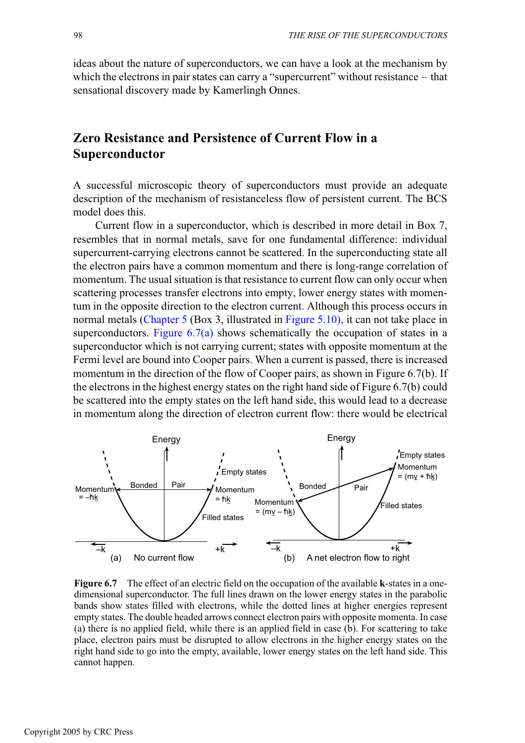ideas about the nature of superconductors, we can have a look at the mechanism by which the electrons in pair states can carry a "supercurrent" without resistance – that sensational discovery made by Kamerlingh Onnes.

## **Zero Resistance and Persistence of Current Flow in a Superconductor**

A successful microscopic theory of superconductors must provide an adequate description of the mechanism of resistanceless flow of persistent current. The BCS model does this.

Current flow in a superconductor, which is described in more detail in Box 7, resembles that in normal metals, save for one fundamental difference: individual supercurrent-carrying electrons cannot be scattered. In the superconducting state all the electron pairs have a common momentum and there is long-range correlation of momentum. The usual situation is that resistance to current flow can only occur when scattering processes transfer electrons into empty, lower energy states with momentum in the opposite direction to the electron current. Although this process occurs in normal metals (Chapter 5 (Box 3, illustrated in Figure 5.10), it can not take place in superconductors. Figure  $6.7(a)$  shows schematically the occupation of states in a superconductor which is not carrying current; states with opposite momentum at the Fermi level are bound into Cooper pairs. When a current is passed, there is increased momentum in the direction of the flow of Cooper pairs, as shown in Figure 6.7(b). If the electrons in the highest energy states on the right hand side of Figure 6.7(b) could be scattered into the empty states on the left hand side, this would lead to a decrease in momentum along the direction of electron current flow: there would be electrical



**Figure 6.7** The effect of an electric field on the occupation of the available **k**-states in a onedimensional superconductor. The full lines drawn on the lower energy states in the parabolic bands show states filled with electrons, while the dotted lines at higher energies represent empty states. The double headed arrows connect electron pairs with opposite momenta. In case (a) there is no applied field, while there is an applied field in case (b). For scattering to take place, electron pairs must be disrupted to allow electrons in the higher energy states on the right hand side to go into the empty, available, lower energy states on the left hand side. This cannot happen.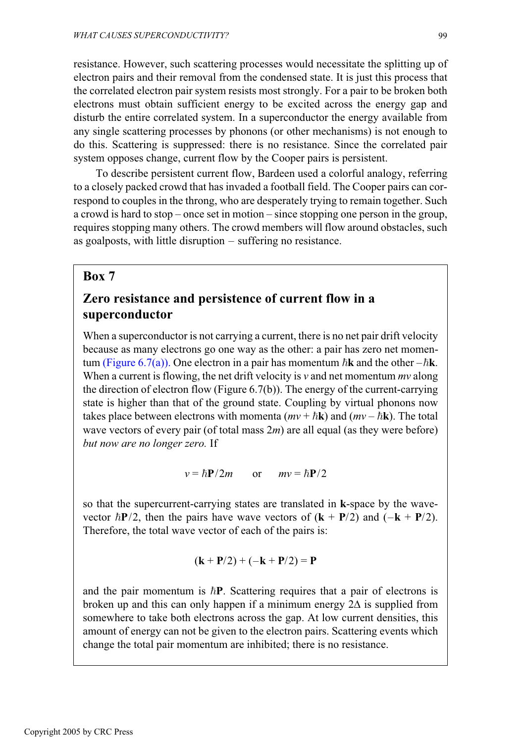resistance. However, such scattering processes would necessitate the splitting up of electron pairs and their removal from the condensed state. It is just this process that the correlated electron pair system resists most strongly. For a pair to be broken both electrons must obtain sufficient energy to be excited across the energy gap and disturb the entire correlated system. In a superconductor the energy available from any single scattering processes by phonons (or other mechanisms) is not enough to do this. Scattering is suppressed: there is no resistance. Since the correlated pair system opposes change, current flow by the Cooper pairs is persistent.

To describe persistent current flow, Bardeen used a colorful analogy, referring to a closely packed crowd that has invaded a football field. The Cooper pairs can correspond to couples in the throng, who are desperately trying to remain together. Such a crowd is hard to stop – once set in motion – since stopping one person in the group, requires stopping many others. The crowd members will flow around obstacles, such as goalposts, with little disruption – suffering no resistance.

## **Box 7**

## **Zero resistance and persistence of current flow in a superconductor**

When a superconductor is not carrying a current, there is no net pair drift velocity because as many electrons go one way as the other: a pair has zero net momentum (Figure 6.7(a)). One electron in a pair has momentum  $\hbar$ **k** and the other  $-\hbar$ **k**. When a current is flowing, the net drift velocity is *v* and net momentum *mv* along the direction of electron flow (Figure 6.7(b)). The energy of the current-carrying state is higher than that of the ground state. Coupling by virtual phonons now takes place between electrons with momenta  $(mv + \hbar k)$  and  $(mv - \hbar k)$ . The total wave vectors of every pair (of total mass 2*m*) are all equal (as they were before) *but now are no longer zero.* If

$$
v = \hbar \mathbf{P}/2m
$$
 or  $mv = \hbar \mathbf{P}/2$ 

so that the supercurrent-carrying states are translated in **k**-space by the wavevector  $\hbar$ **P**/2, then the pairs have wave vectors of  $(\mathbf{k} + \mathbf{P}/2)$  and  $(-\mathbf{k} + \mathbf{P}/2)$ . Therefore, the total wave vector of each of the pairs is:

$$
(k + P/2) + (-k + P/2) = P
$$

and the pair momentum is  $\hbar$ **P**. Scattering requires that a pair of electrons is broken up and this can only happen if a minimum energy  $2\Delta$  is supplied from somewhere to take both electrons across the gap. At low current densities, this amount of energy can not be given to the electron pairs. Scattering events which change the total pair momentum are inhibited; there is no resistance.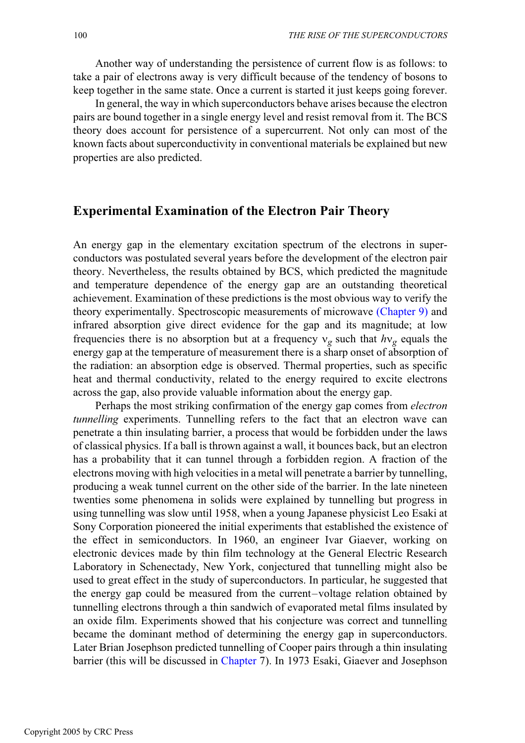Another way of understanding the persistence of current flow is as follows: to take a pair of electrons away is very difficult because of the tendency of bosons to keep together in the same state. Once a current is started it just keeps going forever.

In general, the way in which superconductors behave arises because the electron pairs are bound together in a single energy level and resist removal from it. The BCS theory does account for persistence of a supercurrent. Not only can most of the known facts about superconductivity in conventional materials be explained but new properties are also predicted.

## **Experimental Examination of the Electron Pair Theory**

An energy gap in the elementary excitation spectrum of the electrons in superconductors was postulated several years before the development of the electron pair theory. Nevertheless, the results obtained by BCS, which predicted the magnitude and temperature dependence of the energy gap are an outstanding theoretical achievement. Examination of these predictions is the most obvious way to verify the theory experimentally. Spectroscopic measurements of microwave (Chapter 9) and infrared absorption give direct evidence for the gap and its magnitude; at low frequencies there is no absorption but at a frequency  $v_g$  such that  $h v_g$  equals the energy gap at the temperature of measurement there is a sharp onset of absorption of the radiation: an absorption edge is observed. Thermal properties, such as specific heat and thermal conductivity, related to the energy required to excite electrons across the gap, also provide valuable information about the energy gap.

Perhaps the most striking confirmation of the energy gap comes from *electron tunnelling* experiments. Tunnelling refers to the fact that an electron wave can penetrate a thin insulating barrier, a process that would be forbidden under the laws of classical physics. If a ball is thrown against a wall, it bounces back, but an electron has a probability that it can tunnel through a forbidden region. A fraction of the electrons moving with high velocities in a metal will penetrate a barrier by tunnelling, producing a weak tunnel current on the other side of the barrier. In the late nineteen twenties some phenomena in solids were explained by tunnelling but progress in using tunnelling was slow until 1958, when a young Japanese physicist Leo Esaki at Sony Corporation pioneered the initial experiments that established the existence of the effect in semiconductors. In 1960, an engineer Ivar Giaever, working on electronic devices made by thin film technology at the General Electric Research Laboratory in Schenectady, New York, conjectured that tunnelling might also be used to great effect in the study of superconductors. In particular, he suggested that the energy gap could be measured from the current–voltage relation obtained by tunnelling electrons through a thin sandwich of evaporated metal films insulated by an oxide film. Experiments showed that his conjecture was correct and tunnelling became the dominant method of determining the energy gap in superconductors. Later Brian Josephson predicted tunnelling of Cooper pairs through a thin insulating barrier (this will be discussed in Chapter 7). In 1973 Esaki, Giaever and Josephson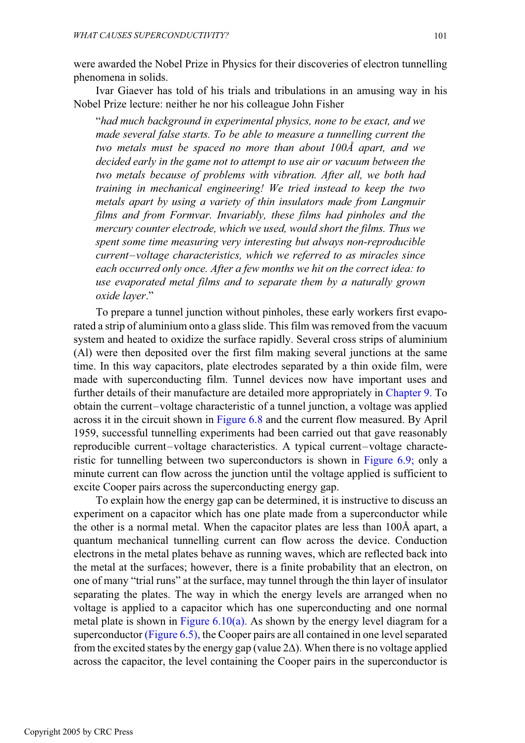were awarded the Nobel Prize in Physics for their discoveries of electron tunnelling phenomena in solids.

Ivar Giaever has told of his trials and tribulations in an amusing way in his Nobel Prize lecture: neither he nor his colleague John Fisher

"*had much background in experimental physics, none to be exact, and we made several false starts. To be able to measure a tunnelling current the two metals must be spaced no more than about 100Å apart, and we decided early in the game not to attempt to use air or vacuum between the two metals because of problems with vibration. After all, we both had training in mechanical engineering! We tried instead to keep the two metals apart by using a variety of thin insulators made from Langmuir films and from Formvar. Invariably, these films had pinholes and the mercury counter electrode, which we used, would short the films. Thus we spent some time measuring very interesting but always non-reproducible current*–*voltage characteristics, which we referred to as miracles since each occurred only once. After a few months we hit on the correct idea: to use evaporated metal films and to separate them by a naturally grown oxide layer*."

To prepare a tunnel junction without pinholes, these early workers first evaporated a strip of aluminium onto a glass slide. This film was removed from the vacuum system and heated to oxidize the surface rapidly. Several cross strips of aluminium (Al) were then deposited over the first film making several junctions at the same time. In this way capacitors, plate electrodes separated by a thin oxide film, were made with superconducting film. Tunnel devices now have important uses and further details of their manufacture are detailed more appropriately in Chapter 9. To obtain the current–voltage characteristic of a tunnel junction, a voltage was applied across it in the circuit shown in Figure 6.8 and the current flow measured. By April 1959, successful tunnelling experiments had been carried out that gave reasonably reproducible current–voltage characteristics. A typical current–voltage characteristic for tunnelling between two superconductors is shown in Figure 6.9; only a minute current can flow across the junction until the voltage applied is sufficient to excite Cooper pairs across the superconducting energy gap.

To explain how the energy gap can be determined, it is instructive to discuss an experiment on a capacitor which has one plate made from a superconductor while the other is a normal metal. When the capacitor plates are less than 100Å apart, a quantum mechanical tunnelling current can flow across the device. Conduction electrons in the metal plates behave as running waves, which are reflected back into the metal at the surfaces; however, there is a finite probability that an electron, on one of many "trial runs" at the surface, may tunnel through the thin layer of insulator separating the plates. The way in which the energy levels are arranged when no voltage is applied to a capacitor which has one superconducting and one normal metal plate is shown in Figure  $6.10(a)$ . As shown by the energy level diagram for a superconductor (Figure 6.5), the Cooper pairs are all contained in one level separated from the excited states by the energy gap (value  $2\Delta$ ). When there is no voltage applied across the capacitor, the level containing the Cooper pairs in the superconductor is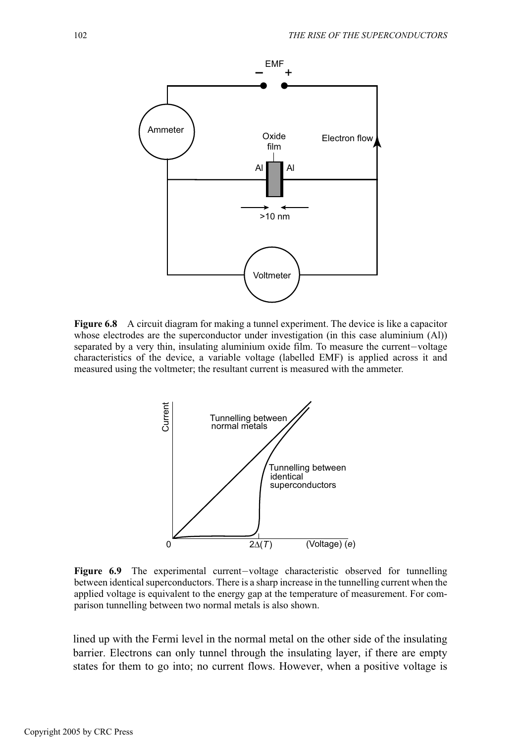

**Figure 6.8** A circuit diagram for making a tunnel experiment. The device is like a capacitor whose electrodes are the superconductor under investigation (in this case aluminium (Al)) separated by a very thin, insulating aluminium oxide film. To measure the current–voltage characteristics of the device, a variable voltage (labelled EMF) is applied across it and measured using the voltmeter; the resultant current is measured with the ammeter.



**Figure 6.9** The experimental current–voltage characteristic observed for tunnelling between identical superconductors. There is a sharp increase in the tunnelling current when the applied voltage is equivalent to the energy gap at the temperature of measurement. For comparison tunnelling between two normal metals is also shown.

lined up with the Fermi level in the normal metal on the other side of the insulating barrier. Electrons can only tunnel through the insulating layer, if there are empty states for them to go into; no current flows. However, when a positive voltage is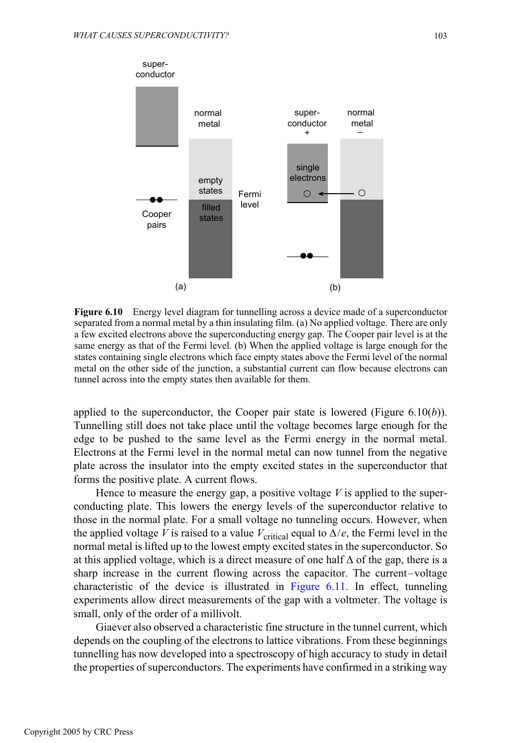

**Figure 6.10** Energy level diagram for tunnelling across a device made of a superconductor separated from a normal metal by a thin insulating film. (a) No applied voltage. There are only a few excited electrons above the superconducting energy gap. The Cooper pair level is at the same energy as that of the Fermi level. (b) When the applied voltage is large enough for the states containing single electrons which face empty states above the Fermi level of the normal metal on the other side of the junction, a substantial current can flow because electrons can tunnel across into the empty states then available for them.

applied to the superconductor, the Cooper pair state is lowered (Figure  $6.10(b)$ ). Tunnelling still does not take place until the voltage becomes large enough for the edge to be pushed to the same level as the Fermi energy in the normal metal. Electrons at the Fermi level in the normal metal can now tunnel from the negative plate across the insulator into the empty excited states in the superconductor that forms the positive plate. A current flows.

Hence to measure the energy gap, a positive voltage  $V$  is applied to the superconducting plate. This lowers the energy levels of the superconductor relative to those in the normal plate. For a small voltage no tunneling occurs. However, when the applied voltage *V* is raised to a value  $V_{\text{critical}}$  equal to  $\Delta/e$ , the Fermi level in the normal metal is lifted up to the lowest empty excited states in the superconductor. So at this applied voltage, which is a direct measure of one half  $\Delta$  of the gap, there is a sharp increase in the current flowing across the capacitor. The current–voltage characteristic of the device is illustrated in Figure 6.11. In effect, tunneling experiments allow direct measurements of the gap with a voltmeter. The voltage is small, only of the order of a millivolt.

Giaever also observed a characteristic fine structure in the tunnel current, which depends on the coupling of the electrons to lattice vibrations. From these beginnings tunnelling has now developed into a spectroscopy of high accuracy to study in detail the properties of superconductors. The experiments have confirmed in a striking way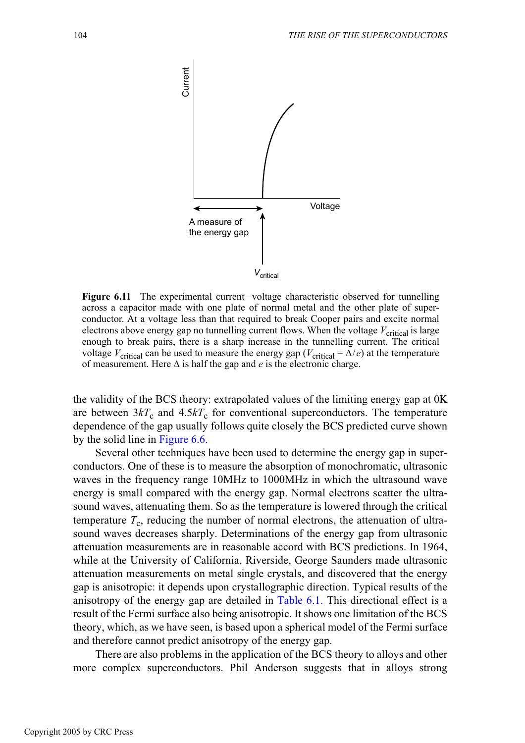

**Figure 6.11** The experimental current–voltage characteristic observed for tunnelling across a capacitor made with one plate of normal metal and the other plate of superconductor. At a voltage less than that required to break Cooper pairs and excite normal electrons above energy gap no tunnelling current flows. When the voltage  $V_{\text{critical}}$  is large enough to break pairs, there is a sharp increase in the tunnelling current. The critical voltage  $V_{critical}$  can be used to measure the energy gap ( $V_{critical} = \Delta/e$ ) at the temperature of measurement. Here  $\Delta$  is half the gap and *e* is the electronic charge.

the validity of the BCS theory: extrapolated values of the limiting energy gap at 0K are between  $3kT_c$  and  $4.5kT_c$  for conventional superconductors. The temperature dependence of the gap usually follows quite closely the BCS predicted curve shown by the solid line in Figure 6.6.

Several other techniques have been used to determine the energy gap in superconductors. One of these is to measure the absorption of monochromatic, ultrasonic waves in the frequency range 10MHz to 1000MHz in which the ultrasound wave energy is small compared with the energy gap. Normal electrons scatter the ultrasound waves, attenuating them. So as the temperature is lowered through the critical temperature  $T_c$ , reducing the number of normal electrons, the attenuation of ultrasound waves decreases sharply. Determinations of the energy gap from ultrasonic attenuation measurements are in reasonable accord with BCS predictions. In 1964, while at the University of California, Riverside, George Saunders made ultrasonic attenuation measurements on metal single crystals, and discovered that the energy gap is anisotropic: it depends upon crystallographic direction. Typical results of the anisotropy of the energy gap are detailed in Table 6.1. This directional effect is a result of the Fermi surface also being anisotropic. It shows one limitation of the BCS theory, which, as we have seen, is based upon a spherical model of the Fermi surface and therefore cannot predict anisotropy of the energy gap.

There are also problems in the application of the BCS theory to alloys and other more complex superconductors. Phil Anderson suggests that in alloys strong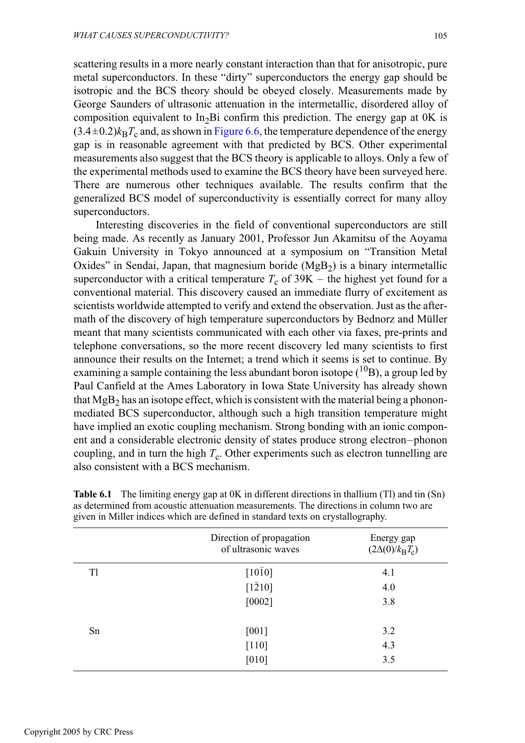scattering results in a more nearly constant interaction than that for anisotropic, pure metal superconductors. In these "dirty" superconductors the energy gap should be isotropic and the BCS theory should be obeyed closely. Measurements made by George Saunders of ultrasonic attenuation in the intermetallic, disordered alloy of composition equivalent to  $In_2B$ i confirm this prediction. The energy gap at 0K is  $(3.4\pm0.2)k_BT_c$  and, as shown in Figure 6.6, the temperature dependence of the energy gap is in reasonable agreement with that predicted by BCS. Other experimental measurements also suggest that the BCS theory is applicable to alloys. Only a few of the experimental methods used to examine the BCS theory have been surveyed here. There are numerous other techniques available. The results confirm that the generalized BCS model of superconductivity is essentially correct for many alloy superconductors.

Interesting discoveries in the field of conventional superconductors are still being made. As recently as January 2001, Professor Jun Akamitsu of the Aoyama Gakuin University in Tokyo announced at a symposium on "Transition Metal Oxides" in Sendai, Japan, that magnesium boride  $(MgB<sub>2</sub>)$  is a binary intermetallic superconductor with a critical temperature  $T_c$  of 39K – the highest yet found for a conventional material. This discovery caused an immediate flurry of excitement as scientists worldwide attempted to verify and extend the observation. Just as the aftermath of the discovery of high temperature superconductors by Bednorz and Müller meant that many scientists communicated with each other via faxes, pre-prints and telephone conversations, so the more recent discovery led many scientists to first announce their results on the Internet; a trend which it seems is set to continue. By examining a sample containing the less abundant boron isotope  $(^{10}B)$ , a group led by Paul Canfield at the Ames Laboratory in Iowa State University has already shown that  $\mathrm{MgB_2}$  has an isotope effect, which is consistent with the material being a phononmediated BCS superconductor, although such a high transition temperature might have implied an exotic coupling mechanism. Strong bonding with an ionic component and a considerable electronic density of states produce strong electron–phonon coupling, and in turn the high  $T_c$ . Other experiments such as electron tunnelling are also consistent with a BCS mechanism.

|    | Direction of propagation<br>of ultrasonic waves | Energy gap<br>$(2\Delta(0)/k_BT_c)$ |
|----|-------------------------------------------------|-------------------------------------|
| T1 | $[10\bar{1}0]$                                  | 4.1                                 |
|    | $[1\overline{2}10]$                             | 4.0                                 |
|    | [0002]                                          | 3.8                                 |
| Sn | [001]                                           | 3.2                                 |
|    | $[110]$                                         | 4.3                                 |
|    | $[010]$                                         | 3.5                                 |
|    |                                                 |                                     |

**Table 6.1** The limiting energy gap at 0K in different directions in thallium (Tl) and tin (Sn) as determined from acoustic attenuation measurements. The directions in column two are given in Miller indices which are defined in standard texts on crystallography.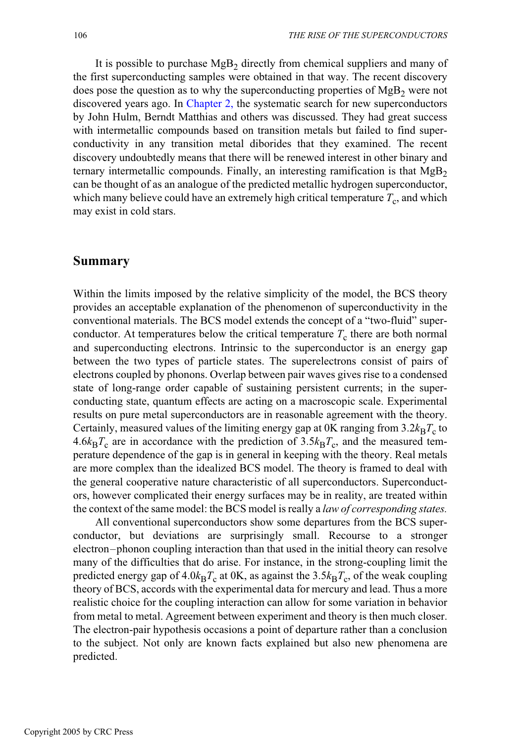It is possible to purchase  $MgB_2$  directly from chemical suppliers and many of the first superconducting samples were obtained in that way. The recent discovery does pose the question as to why the superconducting properties of  $MgB_2$  were not discovered years ago. In Chapter 2, the systematic search for new superconductors by John Hulm, Berndt Matthias and others was discussed. They had great success with intermetallic compounds based on transition metals but failed to find superconductivity in any transition metal diborides that they examined. The recent discovery undoubtedly means that there will be renewed interest in other binary and ternary intermetallic compounds. Finally, an interesting ramification is that  $MgB<sub>2</sub>$ can be thought of as an analogue of the predicted metallic hydrogen superconductor, which many believe could have an extremely high critical temperature  $T_c$ , and which may exist in cold stars.

#### **Summary**

Within the limits imposed by the relative simplicity of the model, the BCS theory provides an acceptable explanation of the phenomenon of superconductivity in the conventional materials. The BCS model extends the concept of a "two-fluid" superconductor. At temperatures below the critical temperature  $T_c$  there are both normal and superconducting electrons. Intrinsic to the superconductor is an energy gap between the two types of particle states. The superelectrons consist of pairs of electrons coupled by phonons. Overlap between pair waves gives rise to a condensed state of long-range order capable of sustaining persistent currents; in the superconducting state, quantum effects are acting on a macroscopic scale. Experimental results on pure metal superconductors are in reasonable agreement with the theory. Certainly, measured values of the limiting energy gap at  $0K$  ranging from  $3.2k_BT_c$  to  $4.6k_BT_c$  are in accordance with the prediction of  $3.5k_BT_c$ , and the measured temperature dependence of the gap is in general in keeping with the theory. Real metals are more complex than the idealized BCS model. The theory is framed to deal with the general cooperative nature characteristic of all superconductors. Superconductors, however complicated their energy surfaces may be in reality, are treated within the context of the same model: the BCS model is really a *law of corresponding states.*

All conventional superconductors show some departures from the BCS superconductor, but deviations are surprisingly small. Recourse to a stronger electron–phonon coupling interaction than that used in the initial theory can resolve many of the difficulties that do arise. For instance, in the strong-coupling limit the predicted energy gap of  $4.0k_BT_c$  at 0K, as against the  $3.5k_BT_c$ , of the weak coupling theory of BCS, accords with the experimental data for mercury and lead. Thus a more realistic choice for the coupling interaction can allow for some variation in behavior from metal to metal. Agreement between experiment and theory is then much closer. The electron-pair hypothesis occasions a point of departure rather than a conclusion to the subject. Not only are known facts explained but also new phenomena are predicted.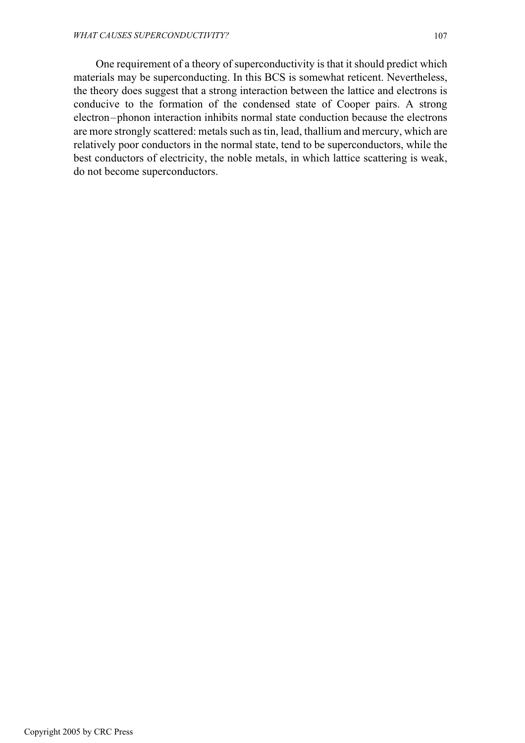One requirement of a theory of superconductivity is that it should predict which materials may be superconducting. In this BCS is somewhat reticent. Nevertheless, the theory does suggest that a strong interaction between the lattice and electrons is conducive to the formation of the condensed state of Cooper pairs. A strong electron–phonon interaction inhibits normal state conduction because the electrons are more strongly scattered: metals such as tin, lead, thallium and mercury, which are relatively poor conductors in the normal state, tend to be superconductors, while the best conductors of electricity, the noble metals, in which lattice scattering is weak, do not become superconductors.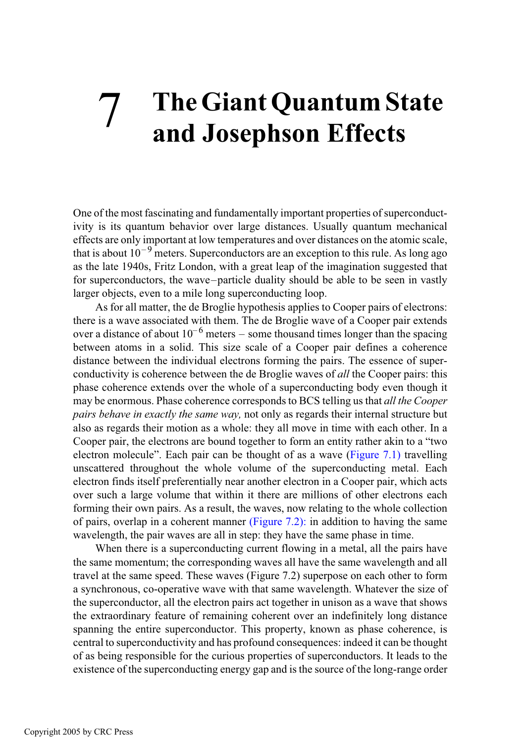# **The Giant Quantum State and Josephson Effects** 7

One of the most fascinating and fundamentally important properties of superconductivity is its quantum behavior over large distances. Usually quantum mechanical effects are only important at low temperatures and over distances on the atomic scale, that is about  $10^{-9}$  meters. Superconductors are an exception to this rule. As long ago as the late 1940s, Fritz London, with a great leap of the imagination suggested that for superconductors, the wave–particle duality should be able to be seen in vastly larger objects, even to a mile long superconducting loop.

As for all matter, the de Broglie hypothesis applies to Cooper pairs of electrons: there is a wave associated with them. The de Broglie wave of a Cooper pair extends over a distance of about  $10^{-6}$  meters – some thousand times longer than the spacing between atoms in a solid. This size scale of a Cooper pair defines a coherence distance between the individual electrons forming the pairs. The essence of superconductivity is coherence between the de Broglie waves of *all* the Cooper pairs: this phase coherence extends over the whole of a superconducting body even though it may be enormous. Phase coherence corresponds to BCS telling us that *all the Cooper pairs behave in exactly the same way,* not only as regards their internal structure but also as regards their motion as a whole: they all move in time with each other. In a Cooper pair, the electrons are bound together to form an entity rather akin to a "two electron molecule". Each pair can be thought of as a wave (Figure 7.1) travelling unscattered throughout the whole volume of the superconducting metal. Each electron finds itself preferentially near another electron in a Cooper pair, which acts over such a large volume that within it there are millions of other electrons each forming their own pairs. As a result, the waves, now relating to the whole collection of pairs, overlap in a coherent manner (Figure 7.2): in addition to having the same wavelength, the pair waves are all in step: they have the same phase in time.

When there is a superconducting current flowing in a metal, all the pairs have the same momentum; the corresponding waves all have the same wavelength and all travel at the same speed. These waves (Figure 7.2) superpose on each other to form a synchronous, co-operative wave with that same wavelength. Whatever the size of the superconductor, all the electron pairs act together in unison as a wave that shows the extraordinary feature of remaining coherent over an indefinitely long distance spanning the entire superconductor. This property, known as phase coherence, is central to superconductivity and has profound consequences: indeed it can be thought of as being responsible for the curious properties of superconductors. It leads to the existence of the superconducting energy gap and is the source of the long-range order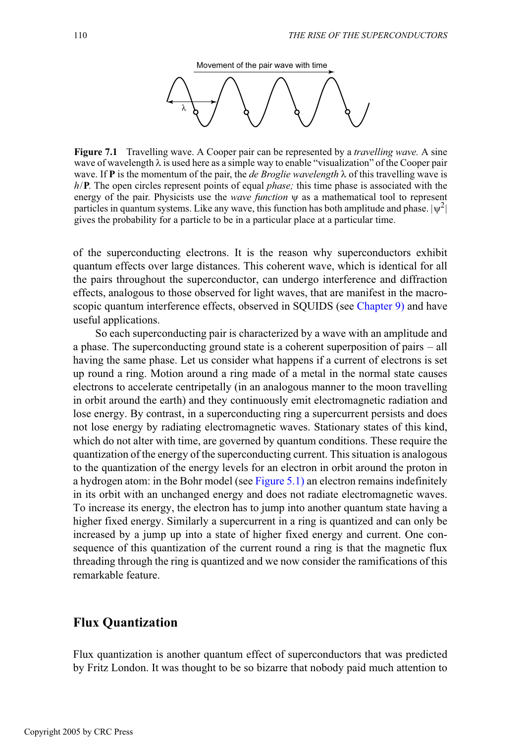

**Figure 7.1** Travelling wave. A Cooper pair can be represented by a *travelling wave.* A sine wave of wavelength  $\lambda$  is used here as a simple way to enable "visualization" of the Cooper pair wave. If **P** is the momentum of the pair, the *de Broglie wavelength*  $\lambda$  of this travelling wave is *h*/**P**. The open circles represent points of equal *phase;* this time phase is associated with the energy of the pair. Physicists use the *wave function*  $\psi$  as a mathematical tool to represent particles in quantum systems. Like any wave, this function has both amplitude and phase.  $|\psi|^2$ | gives the probability for a particle to be in a particular place at a particular time.

of the superconducting electrons. It is the reason why superconductors exhibit quantum effects over large distances. This coherent wave, which is identical for all the pairs throughout the superconductor, can undergo interference and diffraction effects, analogous to those observed for light waves, that are manifest in the macroscopic quantum interference effects, observed in SQUIDS (see Chapter 9) and have useful applications.

So each superconducting pair is characterized by a wave with an amplitude and a phase. The superconducting ground state is a coherent superposition of pairs – all having the same phase. Let us consider what happens if a current of electrons is set up round a ring. Motion around a ring made of a metal in the normal state causes electrons to accelerate centripetally (in an analogous manner to the moon travelling in orbit around the earth) and they continuously emit electromagnetic radiation and lose energy. By contrast, in a superconducting ring a supercurrent persists and does not lose energy by radiating electromagnetic waves. Stationary states of this kind, which do not alter with time, are governed by quantum conditions. These require the quantization of the energy of the superconducting current. This situation is analogous to the quantization of the energy levels for an electron in orbit around the proton in a hydrogen atom: in the Bohr model (see Figure 5.1) an electron remains indefinitely in its orbit with an unchanged energy and does not radiate electromagnetic waves. To increase its energy, the electron has to jump into another quantum state having a higher fixed energy. Similarly a supercurrent in a ring is quantized and can only be increased by a jump up into a state of higher fixed energy and current. One consequence of this quantization of the current round a ring is that the magnetic flux threading through the ring is quantized and we now consider the ramifications of this remarkable feature.

## **Flux Quantization**

Flux quantization is another quantum effect of superconductors that was predicted by Fritz London. It was thought to be so bizarre that nobody paid much attention to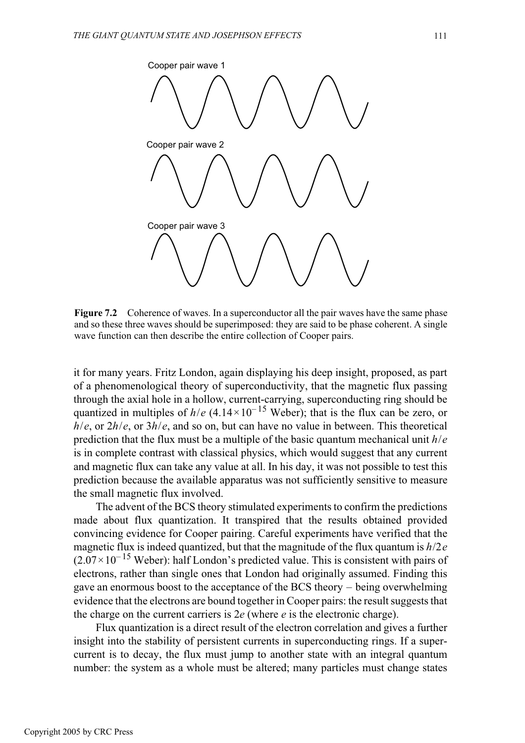

**Figure 7.2** Coherence of waves. In a superconductor all the pair waves have the same phase and so these three waves should be superimposed: they are said to be phase coherent. A single wave function can then describe the entire collection of Cooper pairs.

it for many years. Fritz London, again displaying his deep insight, proposed, as part of a phenomenological theory of superconductivity, that the magnetic flux passing through the axial hole in a hollow, current-carrying, superconducting ring should be quantized in multiples of  $h/e$  (4.14 $\times$ 10<sup>-15</sup> Weber); that is the flux can be zero, or *h*/*e*, or 2*h*/*e*, or 3*h*/*e*, and so on, but can have no value in between. This theoretical prediction that the flux must be a multiple of the basic quantum mechanical unit *h*/*e* is in complete contrast with classical physics, which would suggest that any current and magnetic flux can take any value at all. In his day, it was not possible to test this prediction because the available apparatus was not sufficiently sensitive to measure the small magnetic flux involved.

The advent of the BCS theory stimulated experiments to confirm the predictions made about flux quantization. It transpired that the results obtained provided convincing evidence for Cooper pairing. Careful experiments have verified that the magnetic flux is indeed quantized, but that the magnitude of the flux quantum is *h*/2*e*  $(2.07 \times 10^{-15}$  Weber): half London's predicted value. This is consistent with pairs of electrons, rather than single ones that London had originally assumed. Finding this gave an enormous boost to the acceptance of the BCS theory – being overwhelming evidence that the electrons are bound together in Cooper pairs: the result suggests that the charge on the current carriers is 2*e* (where *e* is the electronic charge).

Flux quantization is a direct result of the electron correlation and gives a further insight into the stability of persistent currents in superconducting rings. If a supercurrent is to decay, the flux must jump to another state with an integral quantum number: the system as a whole must be altered; many particles must change states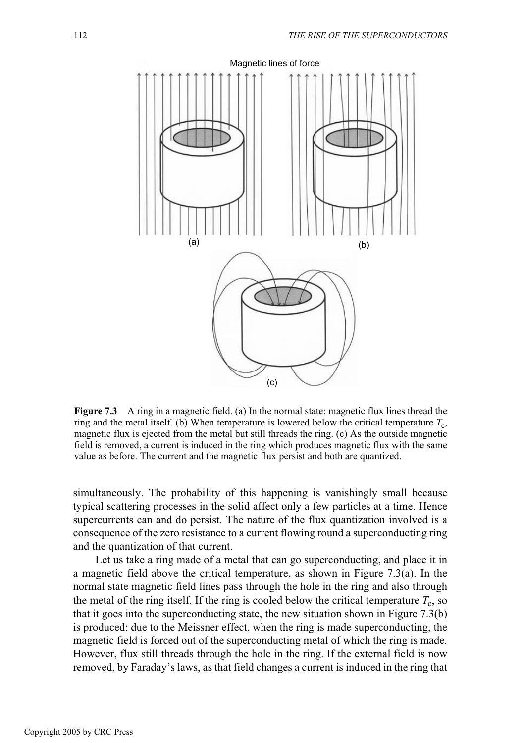

**Figure 7.3** A ring in a magnetic field. (a) In the normal state: magnetic flux lines thread the ring and the metal itself. (b) When temperature is lowered below the critical temperature  $T_c$ , magnetic flux is ejected from the metal but still threads the ring. (c) As the outside magnetic field is removed, a current is induced in the ring which produces magnetic flux with the same value as before. The current and the magnetic flux persist and both are quantized.

simultaneously. The probability of this happening is vanishingly small because typical scattering processes in the solid affect only a few particles at a time. Hence supercurrents can and do persist. The nature of the flux quantization involved is a consequence of the zero resistance to a current flowing round a superconducting ring and the quantization of that current.

Let us take a ring made of a metal that can go superconducting, and place it in a magnetic field above the critical temperature, as shown in Figure 7.3(a). In the normal state magnetic field lines pass through the hole in the ring and also through the metal of the ring itself. If the ring is cooled below the critical temperature  $T_c$ , so that it goes into the superconducting state, the new situation shown in Figure 7.3(b) is produced: due to the Meissner effect, when the ring is made superconducting, the magnetic field is forced out of the superconducting metal of which the ring is made. However, flux still threads through the hole in the ring. If the external field is now removed, by Faraday's laws, as that field changes a current is induced in the ring that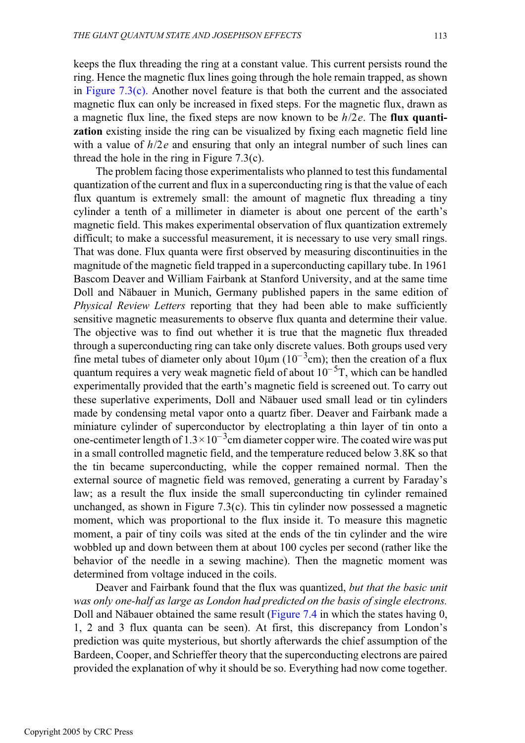keeps the flux threading the ring at a constant value. This current persists round the ring. Hence the magnetic flux lines going through the hole remain trapped, as shown in Figure 7.3(c). Another novel feature is that both the current and the associated magnetic flux can only be increased in fixed steps. For the magnetic flux, drawn as a magnetic flux line, the fixed steps are now known to be *h*/2*e*. The **flux quantization** existing inside the ring can be visualized by fixing each magnetic field line with a value of  $h/2e$  and ensuring that only an integral number of such lines can thread the hole in the ring in Figure 7.3(c).

The problem facing those experimentalists who planned to test this fundamental quantization of the current and flux in a superconducting ring is that the value of each flux quantum is extremely small: the amount of magnetic flux threading a tiny cylinder a tenth of a millimeter in diameter is about one percent of the earth's magnetic field. This makes experimental observation of flux quantization extremely difficult; to make a successful measurement, it is necessary to use very small rings. That was done. Flux quanta were first observed by measuring discontinuities in the magnitude of the magnetic field trapped in a superconducting capillary tube. In 1961 Bascom Deaver and William Fairbank at Stanford University, and at the same time Doll and Näbauer in Munich, Germany published papers in the same edition of *Physical Review Letters* reporting that they had been able to make sufficiently sensitive magnetic measurements to observe flux quanta and determine their value. The objective was to find out whether it is true that the magnetic flux threaded through a superconducting ring can take only discrete values. Both groups used very fine metal tubes of diameter only about  $10\mu m (10^{-3}cm)$ ; then the creation of a flux quantum requires a very weak magnetic field of about  $10^{-5}$ T, which can be handled experimentally provided that the earth's magnetic field is screened out. To carry out these superlative experiments, Doll and Näbauer used small lead or tin cylinders made by condensing metal vapor onto a quartz fiber. Deaver and Fairbank made a miniature cylinder of superconductor by electroplating a thin layer of tin onto a one-centimeter length of  $1.3 \times 10^{-3}$ cm diameter copper wire. The coated wire was put in a small controlled magnetic field, and the temperature reduced below 3.8K so that the tin became superconducting, while the copper remained normal. Then the external source of magnetic field was removed, generating a current by Faraday's law; as a result the flux inside the small superconducting tin cylinder remained unchanged, as shown in Figure 7.3(c). This tin cylinder now possessed a magnetic moment, which was proportional to the flux inside it. To measure this magnetic moment, a pair of tiny coils was sited at the ends of the tin cylinder and the wire wobbled up and down between them at about 100 cycles per second (rather like the behavior of the needle in a sewing machine). Then the magnetic moment was determined from voltage induced in the coils.

Deaver and Fairbank found that the flux was quantized, *but that the basic unit was only one-half as large as London had predicted on the basis of single electrons.* Doll and Näbauer obtained the same result (Figure 7.4 in which the states having 0, 1, 2 and 3 flux quanta can be seen). At first, this discrepancy from London's prediction was quite mysterious, but shortly afterwards the chief assumption of the Bardeen, Cooper, and Schrieffer theory that the superconducting electrons are paired provided the explanation of why it should be so. Everything had now come together.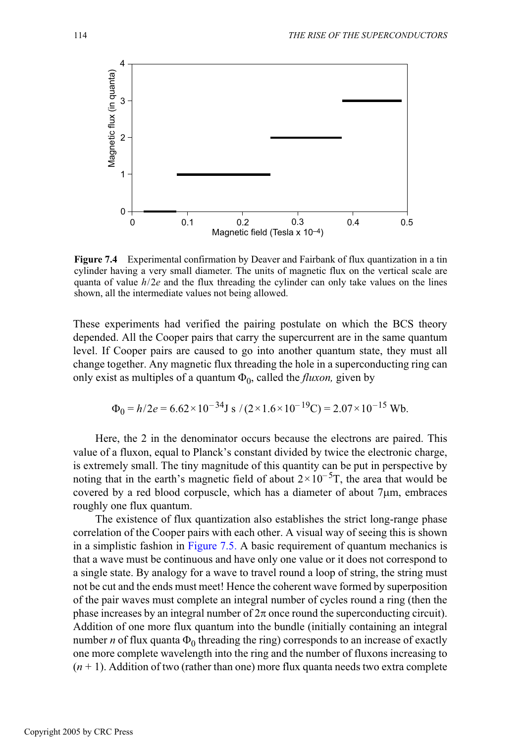

**Figure 7.4** Experimental confirmation by Deaver and Fairbank of flux quantization in a tin cylinder having a very small diameter. The units of magnetic flux on the vertical scale are quanta of value *h*/2*e* and the flux threading the cylinder can only take values on the lines shown, all the intermediate values not being allowed.

These experiments had verified the pairing postulate on which the BCS theory depended. All the Cooper pairs that carry the supercurrent are in the same quantum level. If Cooper pairs are caused to go into another quantum state, they must all change together. Any magnetic flux threading the hole in a superconducting ring can only exist as multiples of a quantum  $\Phi_0$ , called the *fluxon*, given by

$$
\Phi_0 = h/2e = 6.62 \times 10^{-34} \text{J s} / (2 \times 1.6 \times 10^{-19} \text{C}) = 2.07 \times 10^{-15} \text{ Wb}.
$$

Here, the 2 in the denominator occurs because the electrons are paired. This value of a fluxon, equal to Planck's constant divided by twice the electronic charge, is extremely small. The tiny magnitude of this quantity can be put in perspective by noting that in the earth's magnetic field of about  $2 \times 10^{-5}$ T, the area that would be covered by a red blood corpuscle, which has a diameter of about  $7\mu$ m, embraces roughly one flux quantum.

The existence of flux quantization also establishes the strict long-range phase correlation of the Cooper pairs with each other. A visual way of seeing this is shown in a simplistic fashion in Figure 7.5. A basic requirement of quantum mechanics is that a wave must be continuous and have only one value or it does not correspond to a single state. By analogy for a wave to travel round a loop of string, the string must not be cut and the ends must meet! Hence the coherent wave formed by superposition of the pair waves must complete an integral number of cycles round a ring (then the phase increases by an integral number of  $2\pi$  once round the superconducting circuit). Addition of one more flux quantum into the bundle (initially containing an integral number *n* of flux quanta  $\Phi_0$  threading the ring) corresponds to an increase of exactly one more complete wavelength into the ring and the number of fluxons increasing to  $(n + 1)$ . Addition of two (rather than one) more flux quanta needs two extra complete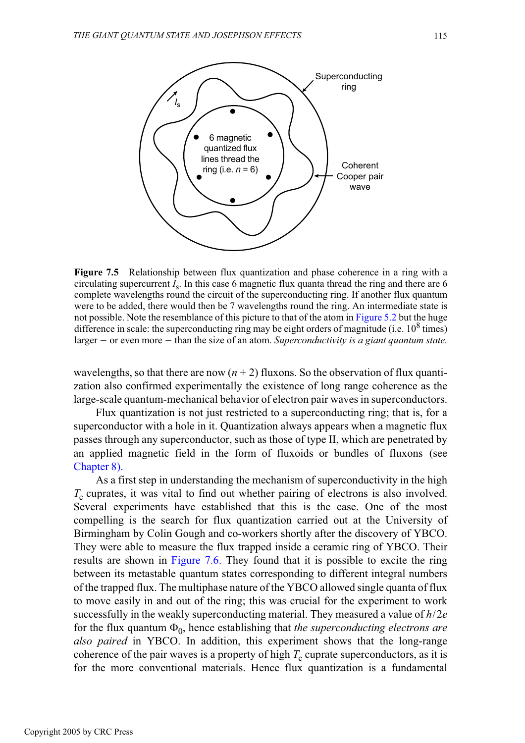

**Figure 7.5** Relationship between flux quantization and phase coherence in a ring with a circulating supercurrent *I* s . In this case 6 magnetic flux quanta thread the ring and there are 6 complete wavelengths round the circuit of the superconducting ring. If another flux quantum were to be added, there would then be 7 wavelengths round the ring. An intermediate state is not possible. Note the resemblance of this picture to that of the atom in Figure 5.2 but the huge difference in scale: the superconducting ring may be eight orders of magnitude (i.e.  $10^8$  times) larger – or even more – than the size of an atom. *Superconductivity is a giant quantum state.*

wavelengths, so that there are now  $(n + 2)$  fluxons. So the observation of flux quantization also confirmed experimentally the existence of long range coherence as the large-scale quantum-mechanical behavior of electron pair waves in superconductors.

Flux quantization is not just restricted to a superconducting ring; that is, for a superconductor with a hole in it. Quantization always appears when a magnetic flux passes through any superconductor, such as those of type II, which are penetrated by an applied magnetic field in the form of fluxoids or bundles of fluxons (see Chapter 8).

As a first step in understanding the mechanism of superconductivity in the high *T*c cuprates, it was vital to find out whether pairing of electrons is also involved. Several experiments have established that this is the case. One of the most compelling is the search for flux quantization carried out at the University of Birmingham by Colin Gough and co-workers shortly after the discovery of YBCO. They were able to measure the flux trapped inside a ceramic ring of YBCO. Their results are shown in Figure 7.6. They found that it is possible to excite the ring between its metastable quantum states corresponding to different integral numbers of the trapped flux. The multiphase nature of the YBCO allowed single quanta of flux to move easily in and out of the ring; this was crucial for the experiment to work successfully in the weakly superconducting material. They measured a value of *h*/2*e* for the flux quantum  $\Phi_0$ , hence establishing that *the superconducting electrons are also paired* in YBCO. In addition, this experiment shows that the long-range coherence of the pair waves is a property of high  $T_c$  cuprate superconductors, as it is for the more conventional materials. Hence flux quantization is a fundamental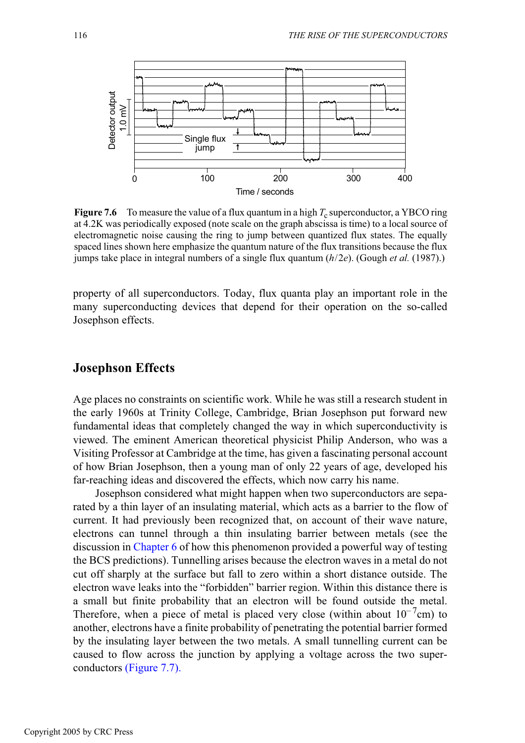

**Figure 7.6** To measure the value of a flux quantum in a high  $T_c$  superconductor, a YBCO ring at 4.2K was periodically exposed (note scale on the graph abscissa is time) to a local source of electromagnetic noise causing the ring to jump between quantized flux states. The equally spaced lines shown here emphasize the quantum nature of the flux transitions because the flux jumps take place in integral numbers of a single flux quantum (*h*/2*e*). (Gough *et al.* (1987).)

property of all superconductors. Today, flux quanta play an important role in the many superconducting devices that depend for their operation on the so-called Josephson effects.

## **Josephson Effects**

Age places no constraints on scientific work. While he was still a research student in the early 1960s at Trinity College, Cambridge, Brian Josephson put forward new fundamental ideas that completely changed the way in which superconductivity is viewed. The eminent American theoretical physicist Philip Anderson, who was a Visiting Professor at Cambridge at the time, has given a fascinating personal account of how Brian Josephson, then a young man of only 22 years of age, developed his far-reaching ideas and discovered the effects, which now carry his name.

Figure 7.6 To measure that 4.2K was periodically exerce that 4.2K was periodically exercution and the absolution of the place in integral property of all supercor many superconducting Josephson effects.<br> **Josephson Effect** Josephson considered what might happen when two superconductors are separated by a thin layer of an insulating material, which acts as a barrier to the flow of current. It had previously been recognized that, on account of their wave nature, electrons can tunnel through a thin insulating barrier between metals (see the discussion in Chapter 6 of how this phenomenon provided a powerful way of testing the BCS predictions). Tunnelling arises because the electron waves in a metal do not cut off sharply at the surface but fall to zero within a short distance outside. The electron wave leaks into the "forbidden" barrier region. Within this distance there is a small but finite probability that an electron will be found outside the metal. Therefore, when a piece of metal is placed very close (within about  $10^{-7}$ cm) to another, electrons have a finite probability of penetrating the potential barrier formed by the insulating layer between the two metals. A small tunnelling current can be caused to flow across the junction by applying a voltage across the two superconductors (Figure 7.7).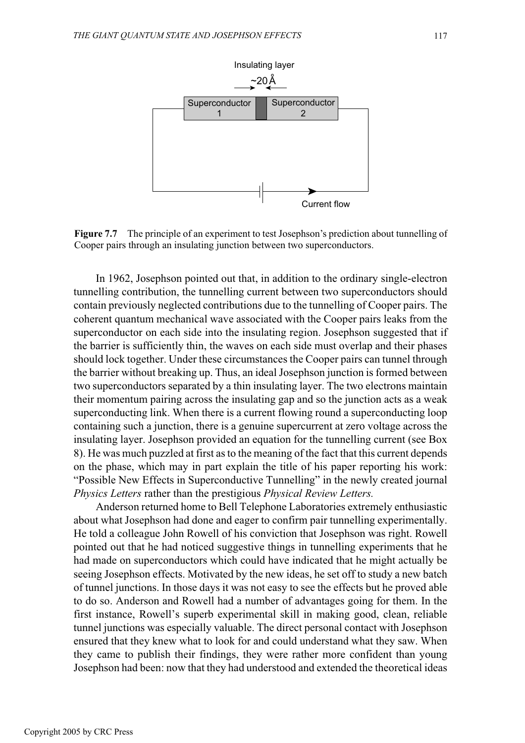

**Figure 7.7** The principle of an experiment to test Josephson's prediction about tunnelling of Cooper pairs through an insulating junction between two superconductors.

In 1962, Josephson pointed out that, in addition to the ordinary single-electron tunnelling contribution, the tunnelling current between two superconductors should contain previously neglected contributions due to the tunnelling of Cooper pairs. The coherent quantum mechanical wave associated with the Cooper pairs leaks from the superconductor on each side into the insulating region. Josephson suggested that if the barrier is sufficiently thin, the waves on each side must overlap and their phases should lock together. Under these circumstances the Cooper pairs can tunnel through the barrier without breaking up. Thus, an ideal Josephson junction is formed between two superconductors separated by a thin insulating layer. The two electrons maintain their momentum pairing across the insulating gap and so the junction acts as a weak superconducting link. When there is a current flowing round a superconducting loop containing such a junction, there is a genuine supercurrent at zero voltage across the insulating layer. Josephson provided an equation for the tunnelling current (see Box 8). He was much puzzled at first as to the meaning of the fact that this current depends on the phase, which may in part explain the title of his paper reporting his work: "Possible New Effects in Superconductive Tunnelling" in the newly created journal *Physics Letters* rather than the prestigious *Physical Review Letters.* 

Anderson returned home to Bell Telephone Laboratories extremely enthusiastic about what Josephson had done and eager to confirm pair tunnelling experimentally. He told a colleague John Rowell of his conviction that Josephson was right. Rowell pointed out that he had noticed suggestive things in tunnelling experiments that he had made on superconductors which could have indicated that he might actually be seeing Josephson effects. Motivated by the new ideas, he set off to study a new batch of tunnel junctions. In those days it was not easy to see the effects but he proved able to do so. Anderson and Rowell had a number of advantages going for them. In the first instance, Rowell's superb experimental skill in making good, clean, reliable tunnel junctions was especially valuable. The direct personal contact with Josephson ensured that they knew what to look for and could understand what they saw. When they came to publish their findings, they were rather more confident than young Josephson had been: now that they had understood and extended the theoretical ideas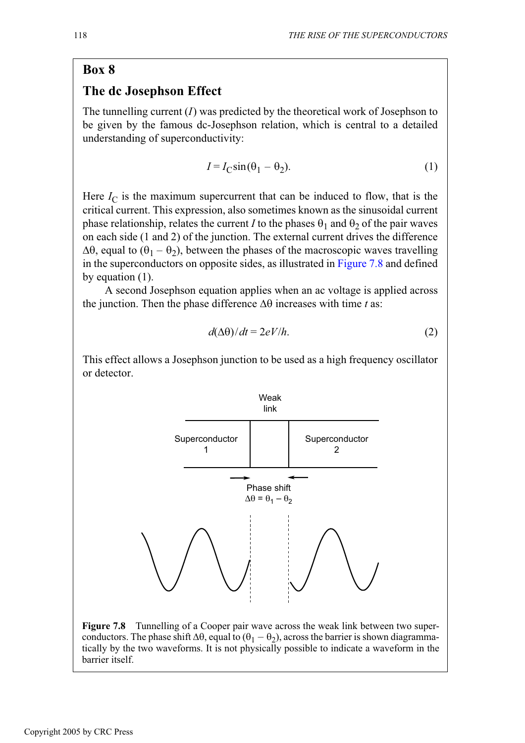## **Box 8**

## **The dc Josephson Effect**

The tunnelling current (*I*) was predicted by the theoretical work of Josephson to be given by the famous dc-Josephson relation, which is central to a detailed understanding of superconductivity:

$$
I = I_{\mathbf{C}} \sin(\theta_1 - \theta_2). \tag{1}
$$

Here  $I_{\rm C}$  is the maximum supercurrent that can be induced to flow, that is the critical current. This expression, also sometimes known as the sinusoidal current phase relationship, relates the current *I* to the phases  $\theta_1$  and  $\theta_2$  of the pair waves on each side (1 and 2) of the junction. The external current drives the difference  $\Delta\theta$ , equal to  $(\theta_1 - \theta_2)$ , between the phases of the macroscopic waves travelling in the superconductors on opposite sides, as illustrated in Figure 7.8 and defined by equation (1).

A second Josephson equation applies when an ac voltage is applied across the junction. Then the phase difference  $\Delta\theta$  increases with time *t* as:

$$
d(\Delta\theta)/dt = 2eV/h.
$$
 (2)

This effect allows a Josephson junction to be used as a high frequency oscillator or detector.



**Figure 7.8** Tunnelling of a Cooper pair wave across the weak link between two superconductors. The phase shift  $\Delta\theta$ , equal to  $(\theta_1 - \theta_2)$ , across the barrier is shown diagrammatically by the two waveforms. It is not physically possible to indicate a waveform in the barrier itself.